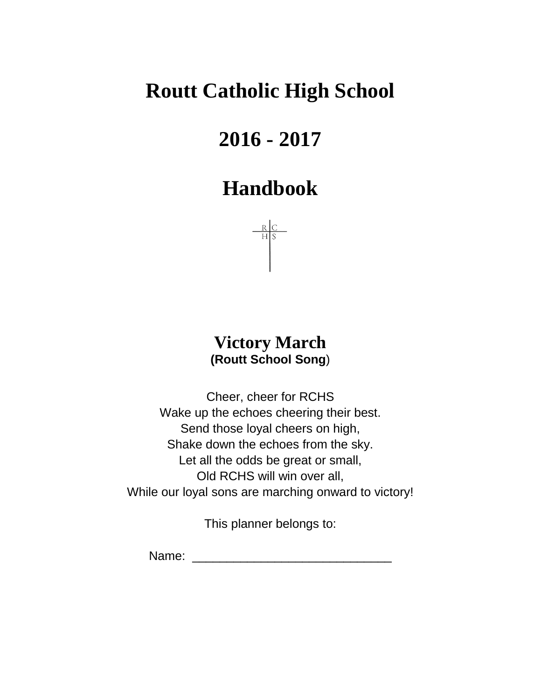# **Routt Catholic High School**

# **2016 - 2017**

# **Handbook**



# **Victory March (Routt School Song**)

Cheer, cheer for RCHS Wake up the echoes cheering their best. Send those loyal cheers on high, Shake down the echoes from the sky. Let all the odds be great or small, Old RCHS will win over all, While our loyal sons are marching onward to victory!

This planner belongs to:

Name:  $\blacksquare$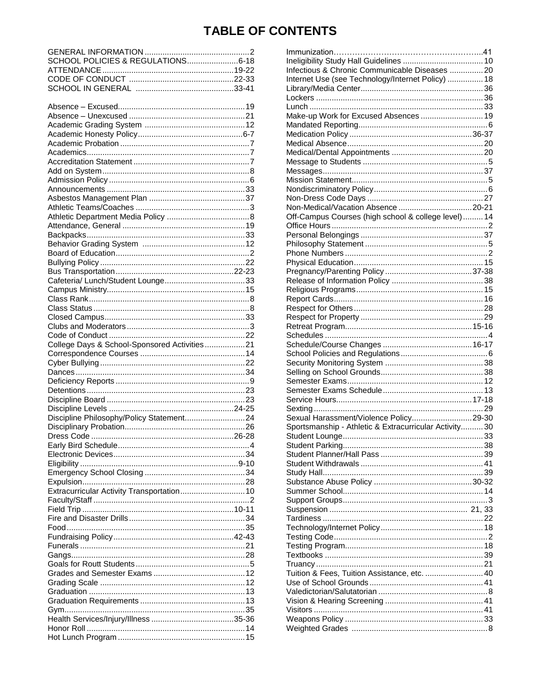## **TABLE OF CONTENTS**

| SCHOOL POLICIES & REGULATIONS6-18            |  |
|----------------------------------------------|--|
|                                              |  |
|                                              |  |
|                                              |  |
|                                              |  |
|                                              |  |
|                                              |  |
|                                              |  |
|                                              |  |
|                                              |  |
|                                              |  |
|                                              |  |
|                                              |  |
|                                              |  |
|                                              |  |
|                                              |  |
|                                              |  |
|                                              |  |
|                                              |  |
|                                              |  |
|                                              |  |
|                                              |  |
|                                              |  |
|                                              |  |
|                                              |  |
|                                              |  |
|                                              |  |
|                                              |  |
|                                              |  |
|                                              |  |
|                                              |  |
|                                              |  |
|                                              |  |
|                                              |  |
|                                              |  |
|                                              |  |
|                                              |  |
|                                              |  |
|                                              |  |
| College Days & School-Sponsored Activities21 |  |
|                                              |  |
|                                              |  |
|                                              |  |
|                                              |  |
|                                              |  |
|                                              |  |
|                                              |  |
|                                              |  |
|                                              |  |
| Discipline Philosophy/Policy Statement 24    |  |
|                                              |  |
|                                              |  |
|                                              |  |
|                                              |  |
|                                              |  |
|                                              |  |
|                                              |  |
|                                              |  |
| Extracurricular Activity Transportation 10   |  |
|                                              |  |
|                                              |  |
|                                              |  |
|                                              |  |
|                                              |  |
|                                              |  |
|                                              |  |
|                                              |  |
|                                              |  |
|                                              |  |
|                                              |  |
|                                              |  |
|                                              |  |
|                                              |  |
|                                              |  |
|                                              |  |
|                                              |  |
|                                              |  |

| Infectious & Chronic Communicable Diseases  20                                                                                                  |  |
|-------------------------------------------------------------------------------------------------------------------------------------------------|--|
| Internet Use (see Technology/Internet Policy)  18                                                                                               |  |
|                                                                                                                                                 |  |
|                                                                                                                                                 |  |
|                                                                                                                                                 |  |
| Make-up Work for Excused Absences  19                                                                                                           |  |
|                                                                                                                                                 |  |
|                                                                                                                                                 |  |
|                                                                                                                                                 |  |
|                                                                                                                                                 |  |
|                                                                                                                                                 |  |
|                                                                                                                                                 |  |
|                                                                                                                                                 |  |
|                                                                                                                                                 |  |
|                                                                                                                                                 |  |
|                                                                                                                                                 |  |
| Off-Campus Courses (high school & college level)  14                                                                                            |  |
|                                                                                                                                                 |  |
|                                                                                                                                                 |  |
|                                                                                                                                                 |  |
|                                                                                                                                                 |  |
|                                                                                                                                                 |  |
|                                                                                                                                                 |  |
|                                                                                                                                                 |  |
|                                                                                                                                                 |  |
|                                                                                                                                                 |  |
|                                                                                                                                                 |  |
|                                                                                                                                                 |  |
|                                                                                                                                                 |  |
|                                                                                                                                                 |  |
|                                                                                                                                                 |  |
|                                                                                                                                                 |  |
|                                                                                                                                                 |  |
|                                                                                                                                                 |  |
|                                                                                                                                                 |  |
|                                                                                                                                                 |  |
|                                                                                                                                                 |  |
|                                                                                                                                                 |  |
|                                                                                                                                                 |  |
|                                                                                                                                                 |  |
|                                                                                                                                                 |  |
|                                                                                                                                                 |  |
|                                                                                                                                                 |  |
|                                                                                                                                                 |  |
|                                                                                                                                                 |  |
|                                                                                                                                                 |  |
|                                                                                                                                                 |  |
|                                                                                                                                                 |  |
|                                                                                                                                                 |  |
|                                                                                                                                                 |  |
|                                                                                                                                                 |  |
|                                                                                                                                                 |  |
|                                                                                                                                                 |  |
|                                                                                                                                                 |  |
|                                                                                                                                                 |  |
|                                                                                                                                                 |  |
|                                                                                                                                                 |  |
|                                                                                                                                                 |  |
|                                                                                                                                                 |  |
|                                                                                                                                                 |  |
| Sexual Harassment/Violence Policy29-30<br>Sportsmanship - Athletic & Extracurricular Activity30<br>Tuition & Fees, Tuition Assistance, etc.  40 |  |
|                                                                                                                                                 |  |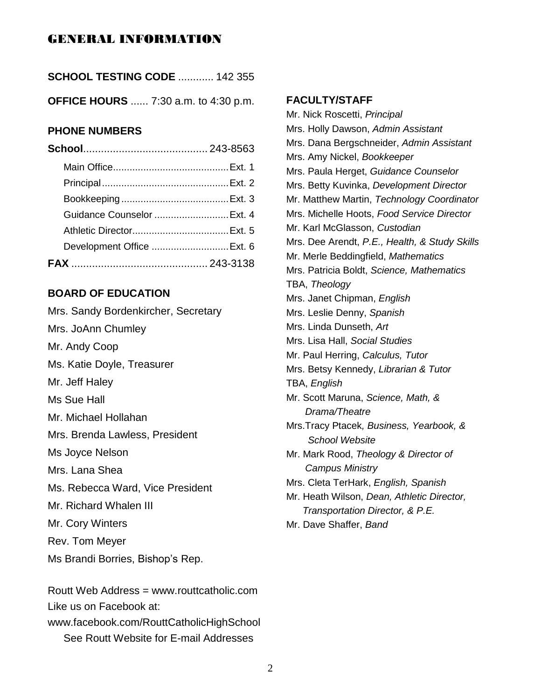## GENERAL INFORMATION

| <b>SCHOOL TESTING CODE  142 355</b>        |  |
|--------------------------------------------|--|
| <b>OFFICE HOURS</b> 7:30 a.m. to 4:30 p.m. |  |

**PHONE NUMBERS**

## **School**.......................................... 243-8563 Main Office..........................................Ext. 1 Principal..............................................Ext. 2 Bookkeeping .......................................Ext. 3 Guidance Counselor ...........................Ext. 4 Athletic Director...................................Ext. 5 Development Office ............................Ext. 6 **FAX** .............................................. 243-3138

## **BOARD OF EDUCATION**

Mrs. Sandy Bordenkircher, Secretary Mrs. JoAnn Chumley Mr. Andy Coop Ms. Katie Doyle, Treasurer Mr. Jeff Haley Ms Sue Hall Mr. Michael Hollahan Mrs. Brenda Lawless, President Ms Joyce Nelson Mrs. Lana Shea Ms. Rebecca Ward, Vice President Mr. Richard Whalen III Mr. Cory Winters Rev. Tom Meyer Ms Brandi Borries, Bishop's Rep.

Routt Web Address = www.routtcatholic.com Like us on Facebook at: www.facebook.com/RouttCatholicHighSchool See Routt Website for E-mail Addresses

#### **FACULTY/STAFF**

Mr. Nick Roscetti, *Principal* Mrs. Holly Dawson, *Admin Assistant* Mrs. Dana Bergschneider, *Admin Assistant* Mrs. Amy Nickel, *Bookkeeper* Mrs. Paula Herget, *Guidance Counselor* Mrs. Betty Kuvinka, *Development Director* Mr. Matthew Martin, *Technology Coordinator* Mrs. Michelle Hoots, *Food Service Director* Mr. Karl McGlasson, *Custodian* Mrs. Dee Arendt, *P.E., Health, & Study Skills* Mr. Merle Beddingfield, *Mathematics* Mrs. Patricia Boldt, *Science, Mathematics* TBA, *Theology* Mrs. Janet Chipman, *English*  Mrs. Leslie Denny, *Spanish* Mrs. Linda Dunseth, *Art* Mrs. Lisa Hall, *Social Studies* Mr. Paul Herring, *Calculus, Tutor* Mrs. Betsy Kennedy, *Librarian & Tutor* TBA, *English* Mr. Scott Maruna, *Science, Math, & Drama/Theatre* Mrs.Tracy Ptacek*, Business, Yearbook, & School Website* Mr. Mark Rood, *Theology & Director of Campus Ministry* Mrs. Cleta TerHark, *English, Spanish*  Mr. Heath Wilson, *Dean, Athletic Director, Transportation Director, & P.E.* Mr. Dave Shaffer, *Band*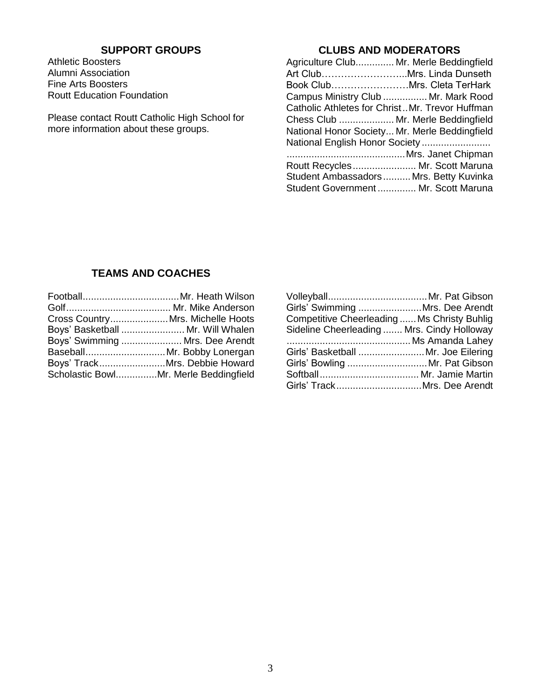## **SUPPORT GROUPS**

Athletic Boosters Alumni Association Fine Arts Boosters Routt Education Foundation

Please contact Routt Catholic High School for more information about these groups.

## **CLUBS AND MODERATORS**

| Agriculture Club Mr. Merle Beddingfield        |  |
|------------------------------------------------|--|
| Art ClubMrs. Linda Dunseth                     |  |
| Book ClubMrs. Cleta TerHark                    |  |
| Campus Ministry Club  Mr. Mark Rood            |  |
| Catholic Athletes for ChristMr. Trevor Huffman |  |
| Chess Club  Mr. Merle Beddingfield             |  |
| National Honor Society Mr. Merle Beddingfield  |  |
| National English Honor Society                 |  |
|                                                |  |
| Routt Recycles Mr. Scott Maruna                |  |
| Student Ambassadors  Mrs. Betty Kuvinka        |  |
| Student Government  Mr. Scott Maruna           |  |

## **TEAMS AND COACHES**

| Cross CountryMrs. Michelle Hoots      |
|---------------------------------------|
| Boys' Basketball  Mr. Will Whalen     |
| Boys' Swimming  Mrs. Dee Arendt       |
| Baseball Mr. Bobby Lonergan           |
| Boys' TrackMrs. Debbie Howard         |
| Scholastic BowlMr. Merle Beddingfield |
|                                       |

| Girls' Swimming Mrs. Dee Arendt            |  |
|--------------------------------------------|--|
| Competitive Cheerleading Ms Christy Buhlig |  |
| Sideline Cheerleading  Mrs. Cindy Holloway |  |
|                                            |  |
| Girls' Basketball  Mr. Joe Eilering        |  |
| Girls' Bowling  Mr. Pat Gibson             |  |
|                                            |  |
| Girls' TrackMrs. Dee Arendt                |  |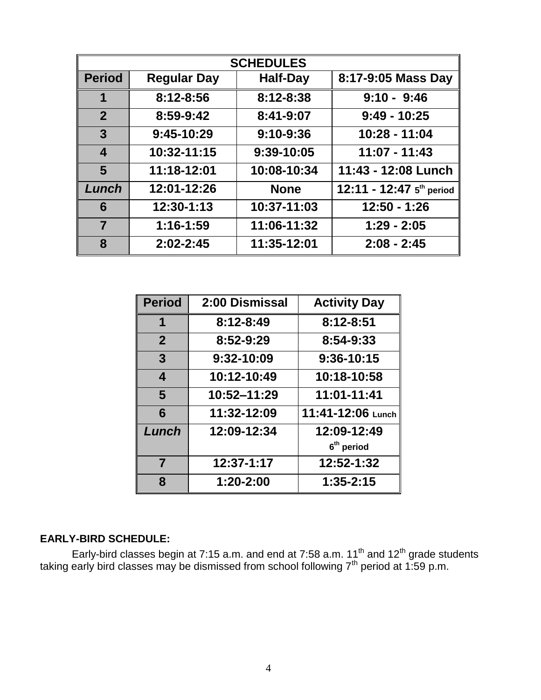| <b>SCHEDULES</b> |                    |                 |                          |  |  |
|------------------|--------------------|-----------------|--------------------------|--|--|
| <b>Period</b>    | <b>Regular Day</b> | <b>Half-Day</b> | 8:17-9:05 Mass Day       |  |  |
| $\mathbf 1$      | 8:12-8:56          | $8:12 - 8:38$   | $9:10 - 9:46$            |  |  |
| $\overline{2}$   | 8:59-9:42          | 8:41-9:07       | $9:49 - 10:25$           |  |  |
| $\mathbf{3}$     | $9:45-10:29$       | $9:10 - 9:36$   | 10:28 - 11:04            |  |  |
| $\boldsymbol{4}$ | 10:32-11:15        | 9:39-10:05      | $11:07 - 11:43$          |  |  |
| 5                | 11:18-12:01        | 10:08-10:34     | 11:43 - 12:08 Lunch      |  |  |
| Lunch            | 12:01-12:26        | <b>None</b>     | 12:11 - 12:47 5th period |  |  |
| 6                | 12:30-1:13         | 10:37-11:03     | 12:50 - 1:26             |  |  |
| $\overline{7}$   | $1:16 - 1:59$      | 11:06-11:32     | $1:29 - 2:05$            |  |  |
| 8                | $2:02 - 2:45$      | 11:35-12:01     | $2:08 - 2:45$            |  |  |

| <b>Period</b>    | 2:00 Dismissal | <b>Activity Day</b>    |
|------------------|----------------|------------------------|
| 1                | 8:12-8:49      | $8:12 - 8:51$          |
| $\overline{2}$   | 8:52-9:29      | 8:54-9:33              |
| $\overline{3}$   | 9:32-10:09     | 9:36-10:15             |
| $\boldsymbol{4}$ | 10:12-10:49    | 10:18-10:58            |
| 5                | 10:52-11:29    | 11:01-11:41            |
| 6                | 11:32-12:09    | 11:41-12:06 Lunch      |
| Lunch            | 12:09-12:34    | 12:09-12:49            |
|                  |                | 6 <sup>th</sup> period |
| 7                | 12:37-1:17     | 12:52-1:32             |
| 8                | 1:20-2:00      | 1:35-2:15              |

## **EARLY-BIRD SCHEDULE:**

Early-bird classes begin at 7:15 a.m. and end at 7:58 a.m. 11<sup>th</sup> and 12<sup>th</sup> grade students taking early bird classes may be dismissed from school following  $7<sup>th</sup>$  period at 1:59 p.m.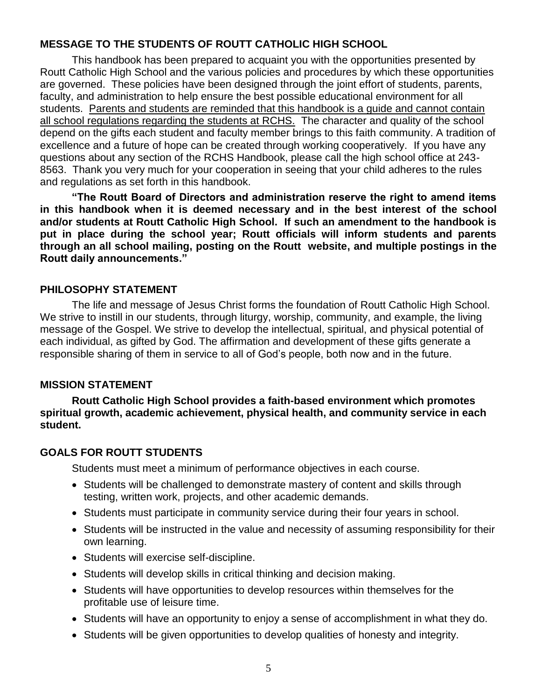## **MESSAGE TO THE STUDENTS OF ROUTT CATHOLIC HIGH SCHOOL**

This handbook has been prepared to acquaint you with the opportunities presented by Routt Catholic High School and the various policies and procedures by which these opportunities are governed. These policies have been designed through the joint effort of students, parents, faculty, and administration to help ensure the best possible educational environment for all students. Parents and students are reminded that this handbook is a guide and cannot contain all school regulations regarding the students at RCHS. The character and quality of the school depend on the gifts each student and faculty member brings to this faith community. A tradition of excellence and a future of hope can be created through working cooperatively. If you have any questions about any section of the RCHS Handbook, please call the high school office at 243- 8563. Thank you very much for your cooperation in seeing that your child adheres to the rules and regulations as set forth in this handbook.

**"The Routt Board of Directors and administration reserve the right to amend items in this handbook when it is deemed necessary and in the best interest of the school and/or students at Routt Catholic High School. If such an amendment to the handbook is put in place during the school year; Routt officials will inform students and parents through an all school mailing, posting on the Routt website, and multiple postings in the Routt daily announcements."**

## **PHILOSOPHY STATEMENT**

The life and message of Jesus Christ forms the foundation of Routt Catholic High School. We strive to instill in our students, through liturgy, worship, community, and example, the living message of the Gospel. We strive to develop the intellectual, spiritual, and physical potential of each individual, as gifted by God. The affirmation and development of these gifts generate a responsible sharing of them in service to all of God's people, both now and in the future.

## **MISSION STATEMENT**

**Routt Catholic High School provides a faith-based environment which promotes spiritual growth, academic achievement, physical health, and community service in each student.**

## **GOALS FOR ROUTT STUDENTS**

Students must meet a minimum of performance objectives in each course.

- Students will be challenged to demonstrate mastery of content and skills through testing, written work, projects, and other academic demands.
- Students must participate in community service during their four years in school.
- Students will be instructed in the value and necessity of assuming responsibility for their own learning.
- Students will exercise self-discipline.
- Students will develop skills in critical thinking and decision making.
- Students will have opportunities to develop resources within themselves for the profitable use of leisure time.
- Students will have an opportunity to enjoy a sense of accomplishment in what they do.
- Students will be given opportunities to develop qualities of honesty and integrity.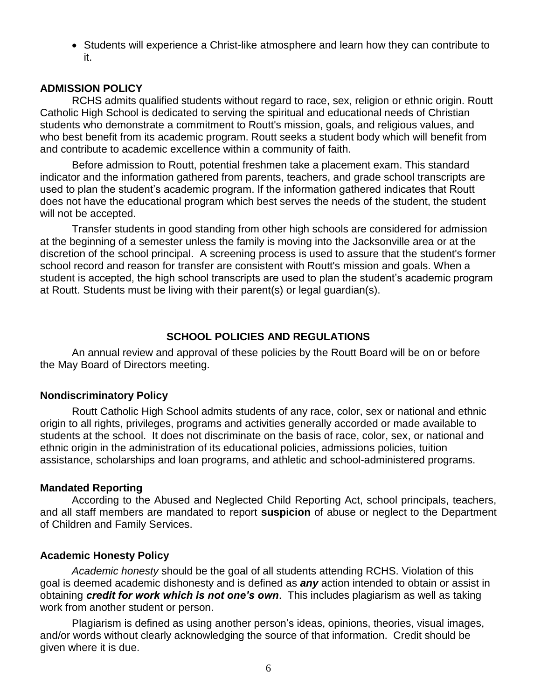• Students will experience a Christ-like atmosphere and learn how they can contribute to it.

#### **ADMISSION POLICY**

RCHS admits qualified students without regard to race, sex, religion or ethnic origin. Routt Catholic High School is dedicated to serving the spiritual and educational needs of Christian students who demonstrate a commitment to Routt's mission, goals, and religious values, and who best benefit from its academic program. Routt seeks a student body which will benefit from and contribute to academic excellence within a community of faith.

Before admission to Routt, potential freshmen take a placement exam. This standard indicator and the information gathered from parents, teachers, and grade school transcripts are used to plan the student's academic program. If the information gathered indicates that Routt does not have the educational program which best serves the needs of the student, the student will not be accepted.

Transfer students in good standing from other high schools are considered for admission at the beginning of a semester unless the family is moving into the Jacksonville area or at the discretion of the school principal. A screening process is used to assure that the student's former school record and reason for transfer are consistent with Routt's mission and goals. When a student is accepted, the high school transcripts are used to plan the student's academic program at Routt. Students must be living with their parent(s) or legal guardian(s).

## **SCHOOL POLICIES AND REGULATIONS**

An annual review and approval of these policies by the Routt Board will be on or before the May Board of Directors meeting.

#### **Nondiscriminatory Policy**

Routt Catholic High School admits students of any race, color, sex or national and ethnic origin to all rights, privileges, programs and activities generally accorded or made available to students at the school. It does not discriminate on the basis of race, color, sex, or national and ethnic origin in the administration of its educational policies, admissions policies, tuition assistance, scholarships and loan programs, and athletic and school-administered programs.

#### **Mandated Reporting**

According to the Abused and Neglected Child Reporting Act, school principals, teachers, and all staff members are mandated to report **suspicion** of abuse or neglect to the Department of Children and Family Services.

#### **Academic Honesty Policy**

*Academic honesty* should be the goal of all students attending RCHS. Violation of this goal is deemed academic dishonesty and is defined as *any* action intended to obtain or assist in obtaining *credit for work which is not one's own*. This includes plagiarism as well as taking work from another student or person.

Plagiarism is defined as using another person's ideas, opinions, theories, visual images, and/or words without clearly acknowledging the source of that information. Credit should be given where it is due.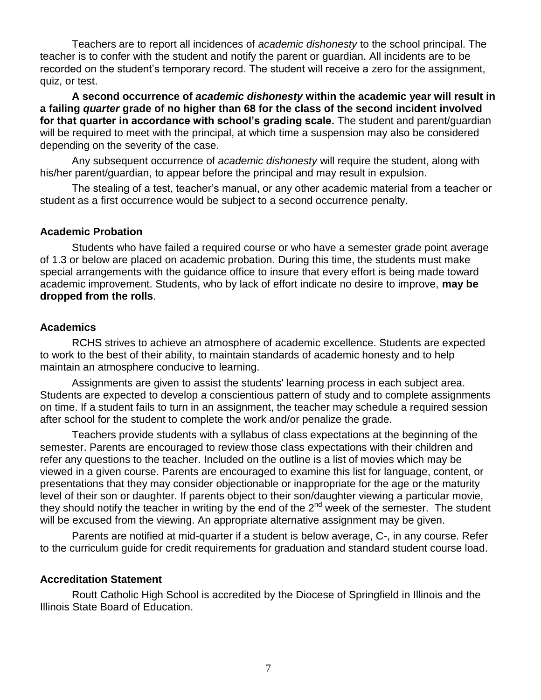Teachers are to report all incidences of *academic dishonesty* to the school principal. The teacher is to confer with the student and notify the parent or guardian. All incidents are to be recorded on the student's temporary record. The student will receive a zero for the assignment, quiz, or test.

**A second occurrence of** *academic dishonesty* **within the academic year will result in a failing** *quarter* **grade of no higher than 68 for the class of the second incident involved for that quarter in accordance with school's grading scale.** The student and parent/guardian will be required to meet with the principal, at which time a suspension may also be considered depending on the severity of the case.

Any subsequent occurrence of *academic dishonesty* will require the student, along with his/her parent/guardian, to appear before the principal and may result in expulsion.

The stealing of a test, teacher's manual, or any other academic material from a teacher or student as a first occurrence would be subject to a second occurrence penalty.

#### **Academic Probation**

Students who have failed a required course or who have a semester grade point average of 1.3 or below are placed on academic probation. During this time, the students must make special arrangements with the guidance office to insure that every effort is being made toward academic improvement. Students, who by lack of effort indicate no desire to improve, **may be dropped from the rolls**.

#### **Academics**

RCHS strives to achieve an atmosphere of academic excellence. Students are expected to work to the best of their ability, to maintain standards of academic honesty and to help maintain an atmosphere conducive to learning.

Assignments are given to assist the students' learning process in each subject area. Students are expected to develop a conscientious pattern of study and to complete assignments on time. If a student fails to turn in an assignment, the teacher may schedule a required session after school for the student to complete the work and/or penalize the grade.

Teachers provide students with a syllabus of class expectations at the beginning of the semester. Parents are encouraged to review those class expectations with their children and refer any questions to the teacher. Included on the outline is a list of movies which may be viewed in a given course. Parents are encouraged to examine this list for language, content, or presentations that they may consider objectionable or inappropriate for the age or the maturity level of their son or daughter. If parents object to their son/daughter viewing a particular movie, they should notify the teacher in writing by the end of the 2<sup>nd</sup> week of the semester. The student will be excused from the viewing. An appropriate alternative assignment may be given.

Parents are notified at mid-quarter if a student is below average, C-, in any course. Refer to the curriculum guide for credit requirements for graduation and standard student course load.

#### **Accreditation Statement**

Routt Catholic High School is accredited by the Diocese of Springfield in Illinois and the Illinois State Board of Education.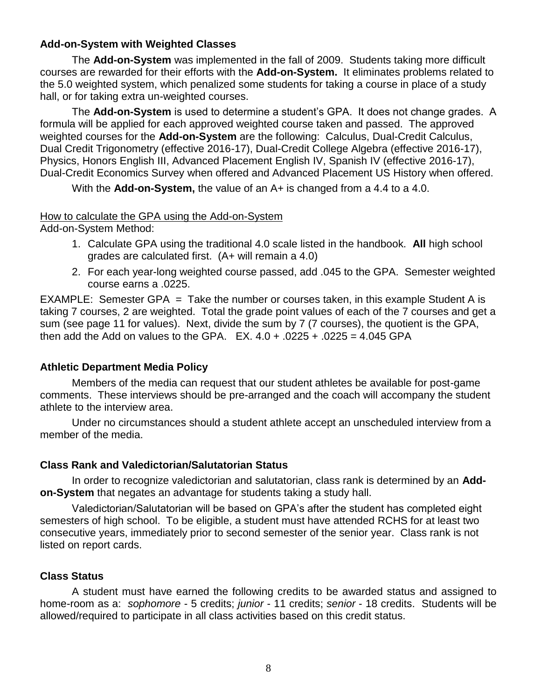## **Add-on-System with Weighted Classes**

The **Add-on-System** was implemented in the fall of 2009. Students taking more difficult courses are rewarded for their efforts with the **Add-on-System.** It eliminates problems related to the 5.0 weighted system, which penalized some students for taking a course in place of a study hall, or for taking extra un-weighted courses.

The **Add-on-System** is used to determine a student's GPA. It does not change grades. A formula will be applied for each approved weighted course taken and passed. The approved weighted courses for the **Add-on-System** are the following: Calculus, Dual-Credit Calculus, Dual Credit Trigonometry (effective 2016-17), Dual-Credit College Algebra (effective 2016-17), Physics, Honors English III, Advanced Placement English IV, Spanish IV (effective 2016-17), Dual-Credit Economics Survey when offered and Advanced Placement US History when offered.

With the **Add-on-System,** the value of an A+ is changed from a 4.4 to a 4.0.

#### How to calculate the GPA using the Add-on-System

Add-on-System Method:

- 1. Calculate GPA using the traditional 4.0 scale listed in the handbook. **All** high school grades are calculated first. (A+ will remain a 4.0)
- 2. For each year-long weighted course passed, add .045 to the GPA. Semester weighted course earns a .0225.

EXAMPLE: Semester GPA  $=$  Take the number or courses taken, in this example Student A is taking 7 courses, 2 are weighted. Total the grade point values of each of the 7 courses and get a sum (see page 11 for values). Next, divide the sum by 7 (7 courses), the quotient is the GPA, then add the Add on values to the GPA.  $EX. 4.0 + .0225 + .0225 = 4.045$  GPA

## **Athletic Department Media Policy**

Members of the media can request that our student athletes be available for post-game comments. These interviews should be pre-arranged and the coach will accompany the student athlete to the interview area.

Under no circumstances should a student athlete accept an unscheduled interview from a member of the media.

## **Class Rank and Valedictorian/Salutatorian Status**

In order to recognize valedictorian and salutatorian, class rank is determined by an **Addon-System** that negates an advantage for students taking a study hall.

Valedictorian/Salutatorian will be based on GPA's after the student has completed eight semesters of high school. To be eligible, a student must have attended RCHS for at least two consecutive years, immediately prior to second semester of the senior year. Class rank is not listed on report cards.

## **Class Status**

A student must have earned the following credits to be awarded status and assigned to home-room as a: *sophomore* - 5 credits; *junior* - 11 credits; *senior* - 18 credits. Students will be allowed/required to participate in all class activities based on this credit status.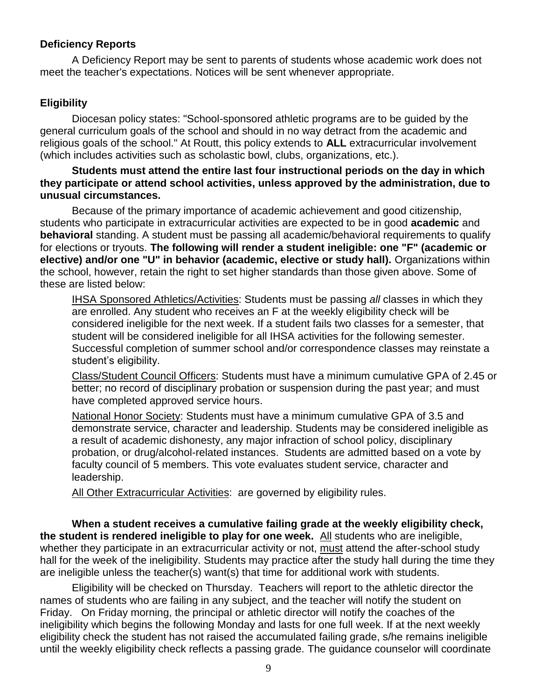## **Deficiency Reports**

A Deficiency Report may be sent to parents of students whose academic work does not meet the teacher's expectations. Notices will be sent whenever appropriate.

## **Eligibility**

Diocesan policy states: "School-sponsored athletic programs are to be guided by the general curriculum goals of the school and should in no way detract from the academic and religious goals of the school." At Routt, this policy extends to **ALL** extracurricular involvement (which includes activities such as scholastic bowl, clubs, organizations, etc.).

**Students must attend the entire last four instructional periods on the day in which they participate or attend school activities, unless approved by the administration, due to unusual circumstances.**

Because of the primary importance of academic achievement and good citizenship, students who participate in extracurricular activities are expected to be in good **academic** and **behavioral** standing. A student must be passing all academic/behavioral requirements to qualify for elections or tryouts. **The following will render a student ineligible: one "F" (academic or elective) and/or one "U" in behavior (academic, elective or study hall).** Organizations within the school, however, retain the right to set higher standards than those given above. Some of these are listed below:

IHSA Sponsored Athletics/Activities: Students must be passing *all* classes in which they are enrolled. Any student who receives an F at the weekly eligibility check will be considered ineligible for the next week. If a student fails two classes for a semester, that student will be considered ineligible for all IHSA activities for the following semester. Successful completion of summer school and/or correspondence classes may reinstate a student's eligibility.

Class/Student Council Officers: Students must have a minimum cumulative GPA of 2.45 or better; no record of disciplinary probation or suspension during the past year; and must have completed approved service hours.

National Honor Society: Students must have a minimum cumulative GPA of 3.5 and demonstrate service, character and leadership. Students may be considered ineligible as a result of academic dishonesty, any major infraction of school policy, disciplinary probation, or drug/alcohol-related instances. Students are admitted based on a vote by faculty council of 5 members. This vote evaluates student service, character and leadership.

All Other Extracurricular Activities: are governed by eligibility rules.

**When a student receives a cumulative failing grade at the weekly eligibility check, the student is rendered ineligible to play for one week.** All students who are ineligible, whether they participate in an extracurricular activity or not, must attend the after-school study hall for the week of the ineligibility. Students may practice after the study hall during the time they are ineligible unless the teacher(s) want(s) that time for additional work with students.

Eligibility will be checked on Thursday. Teachers will report to the athletic director the names of students who are failing in any subject, and the teacher will notify the student on Friday. On Friday morning, the principal or athletic director will notify the coaches of the ineligibility which begins the following Monday and lasts for one full week. If at the next weekly eligibility check the student has not raised the accumulated failing grade, s/he remains ineligible until the weekly eligibility check reflects a passing grade. The guidance counselor will coordinate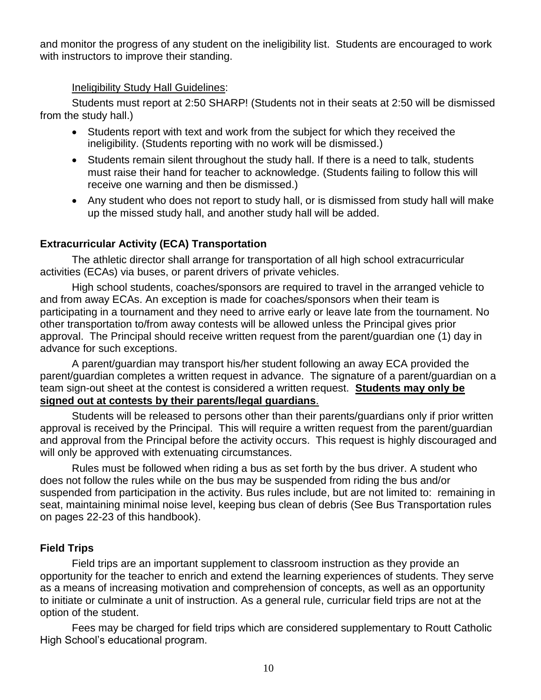and monitor the progress of any student on the ineligibility list. Students are encouraged to work with instructors to improve their standing.

## Ineligibility Study Hall Guidelines:

Students must report at 2:50 SHARP! (Students not in their seats at 2:50 will be dismissed from the study hall.)

- Students report with text and work from the subject for which they received the ineligibility. (Students reporting with no work will be dismissed.)
- Students remain silent throughout the study hall. If there is a need to talk, students must raise their hand for teacher to acknowledge. (Students failing to follow this will receive one warning and then be dismissed.)
- Any student who does not report to study hall, or is dismissed from study hall will make up the missed study hall, and another study hall will be added.

## **Extracurricular Activity (ECA) Transportation**

The athletic director shall arrange for transportation of all high school extracurricular activities (ECAs) via buses, or parent drivers of private vehicles.

High school students, coaches/sponsors are required to travel in the arranged vehicle to and from away ECAs. An exception is made for coaches/sponsors when their team is participating in a tournament and they need to arrive early or leave late from the tournament. No other transportation to/from away contests will be allowed unless the Principal gives prior approval. The Principal should receive written request from the parent/guardian one (1) day in advance for such exceptions.

A parent/guardian may transport his/her student following an away ECA provided the parent/guardian completes a written request in advance. The signature of a parent/guardian on a team sign-out sheet at the contest is considered a written request. **Students may only be signed out at contests by their parents/legal guardians**.

Students will be released to persons other than their parents/guardians only if prior written approval is received by the Principal. This will require a written request from the parent/guardian and approval from the Principal before the activity occurs. This request is highly discouraged and will only be approved with extenuating circumstances.

Rules must be followed when riding a bus as set forth by the bus driver. A student who does not follow the rules while on the bus may be suspended from riding the bus and/or suspended from participation in the activity. Bus rules include, but are not limited to: remaining in seat, maintaining minimal noise level, keeping bus clean of debris (See Bus Transportation rules on pages 22-23 of this handbook).

## **Field Trips**

Field trips are an important supplement to classroom instruction as they provide an opportunity for the teacher to enrich and extend the learning experiences of students. They serve as a means of increasing motivation and comprehension of concepts, as well as an opportunity to initiate or culminate a unit of instruction. As a general rule, curricular field trips are not at the option of the student.

Fees may be charged for field trips which are considered supplementary to Routt Catholic High School's educational program.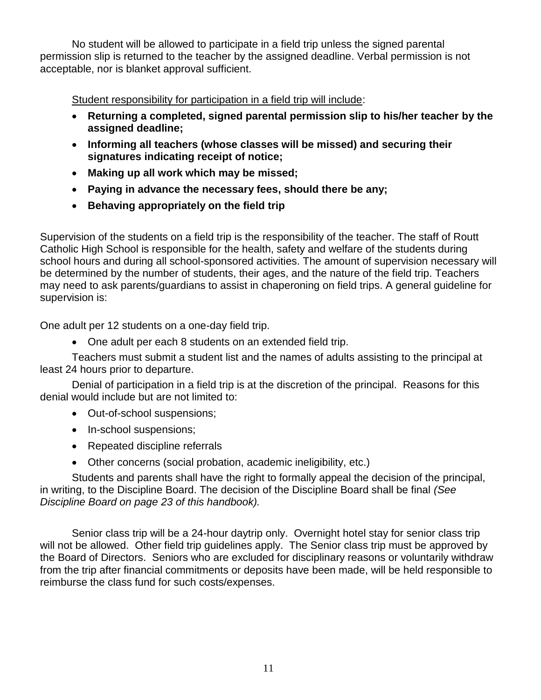No student will be allowed to participate in a field trip unless the signed parental permission slip is returned to the teacher by the assigned deadline. Verbal permission is not acceptable, nor is blanket approval sufficient.

Student responsibility for participation in a field trip will include:

- **Returning a completed, signed parental permission slip to his/her teacher by the assigned deadline;**
- **Informing all teachers (whose classes will be missed) and securing their signatures indicating receipt of notice;**
- **Making up all work which may be missed;**
- **Paying in advance the necessary fees, should there be any;**
- **Behaving appropriately on the field trip**

Supervision of the students on a field trip is the responsibility of the teacher. The staff of Routt Catholic High School is responsible for the health, safety and welfare of the students during school hours and during all school-sponsored activities. The amount of supervision necessary will be determined by the number of students, their ages, and the nature of the field trip. Teachers may need to ask parents/guardians to assist in chaperoning on field trips. A general guideline for supervision is:

One adult per 12 students on a one-day field trip.

One adult per each 8 students on an extended field trip.

Teachers must submit a student list and the names of adults assisting to the principal at least 24 hours prior to departure.

Denial of participation in a field trip is at the discretion of the principal. Reasons for this denial would include but are not limited to:

- Out-of-school suspensions;
- In-school suspensions;
- Repeated discipline referrals
- Other concerns (social probation, academic ineligibility, etc.)

Students and parents shall have the right to formally appeal the decision of the principal, in writing, to the Discipline Board. The decision of the Discipline Board shall be final *(See Discipline Board on page 23 of this handbook).*

Senior class trip will be a 24-hour daytrip only. Overnight hotel stay for senior class trip will not be allowed. Other field trip guidelines apply. The Senior class trip must be approved by the Board of Directors. Seniors who are excluded for disciplinary reasons or voluntarily withdraw from the trip after financial commitments or deposits have been made, will be held responsible to reimburse the class fund for such costs/expenses.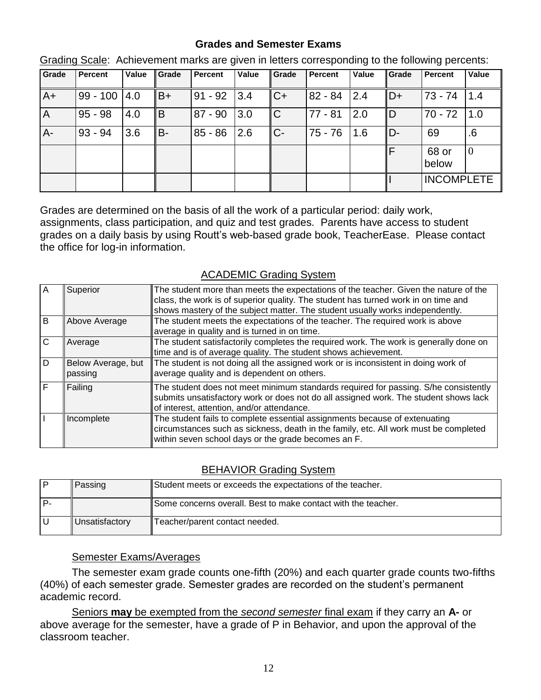## **Grades and Semester Exams**

| Grade          | Percent    | Value | ll Grade  | Percent    | Value | Grade | Percent   | Value | Grade | Percent           | Value             |
|----------------|------------|-------|-----------|------------|-------|-------|-----------|-------|-------|-------------------|-------------------|
| $A+$           | $99 - 100$ | 4.0   | $B+$      | $91 - 92$  | 3.4   | lC+   | $82 - 84$ | 2.4   | lD+   | $73 - 74$         | 1.4               |
| $\overline{A}$ | $95 - 98$  | 4.0   | B         | $187 - 90$ | 3.0   | IC    | $77 - 81$ | 2.0   | ID    | $70 - 72$         | $\vert 1.0 \vert$ |
| $A -$          | $93 - 94$  | 3.6   | <b>B-</b> | 85 - 86    | 2.6   | IC-   | $75 - 76$ | 1.6   | ID-   | 69                | .6                |
|                |            |       |           |            |       |       |           |       |       | 68 or<br>below    | $\overline{0}$    |
|                |            |       |           |            |       |       |           |       |       | <b>INCOMPLETE</b> |                   |

Grading Scale: Achievement marks are given in letters corresponding to the following percents:

Grades are determined on the basis of all the work of a particular period: daily work, assignments, class participation, and quiz and test grades. Parents have access to student grades on a daily basis by using Routt's web-based grade book, TeacherEase. Please contact the office for log-in information.

## ACADEMIC Grading System

| A | Superior                      | The student more than meets the expectations of the teacher. Given the nature of the<br>class, the work is of superior quality. The student has turned work in on time and<br>shows mastery of the subject matter. The student usually works independently. |
|---|-------------------------------|-------------------------------------------------------------------------------------------------------------------------------------------------------------------------------------------------------------------------------------------------------------|
| B | Above Average                 | The student meets the expectations of the teacher. The required work is above<br>average in quality and is turned in on time.                                                                                                                               |
| C | Average                       | The student satisfactorily completes the required work. The work is generally done on<br>time and is of average quality. The student shows achievement.                                                                                                     |
| D | Below Average, but<br>passing | The student is not doing all the assigned work or is inconsistent in doing work of<br>average quality and is dependent on others.                                                                                                                           |
|   | Failing                       | The student does not meet minimum standards required for passing. S/he consistently<br>submits unsatisfactory work or does not do all assigned work. The student shows lack<br>of interest, attention, and/or attendance.                                   |
|   | Incomplete                    | The student fails to complete essential assignments because of extenuating<br>circumstances such as sickness, death in the family, etc. All work must be completed<br>within seven school days or the grade becomes an F.                                   |

## BEHAVIOR Grading System

| Passing        | Student meets or exceeds the expectations of the teacher.     |
|----------------|---------------------------------------------------------------|
|                | Some concerns overall. Best to make contact with the teacher. |
| Unsatisfactory | Teacher/parent contact needed.                                |

## Semester Exams/Averages

The semester exam grade counts one-fifth (20%) and each quarter grade counts two-fifths (40%) of each semester grade. Semester grades are recorded on the student's permanent academic record.

Seniors **may** be exempted from the *second semester* final exam if they carry an **A-** or above average for the semester, have a grade of P in Behavior, and upon the approval of the classroom teacher.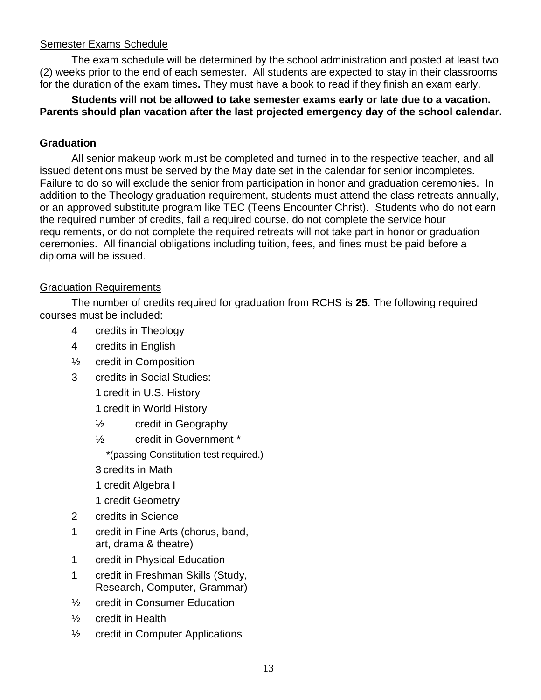## Semester Exams Schedule

The exam schedule will be determined by the school administration and posted at least two (2) weeks prior to the end of each semester. All students are expected to stay in their classrooms for the duration of the exam times**.** They must have a book to read if they finish an exam early.

## **Students will not be allowed to take semester exams early or late due to a vacation. Parents should plan vacation after the last projected emergency day of the school calendar.**

## **Graduation**

All senior makeup work must be completed and turned in to the respective teacher, and all issued detentions must be served by the May date set in the calendar for senior incompletes. Failure to do so will exclude the senior from participation in honor and graduation ceremonies. In addition to the Theology graduation requirement, students must attend the class retreats annually, or an approved substitute program like TEC (Teens Encounter Christ). Students who do not earn the required number of credits, fail a required course, do not complete the service hour requirements, or do not complete the required retreats will not take part in honor or graduation ceremonies. All financial obligations including tuition, fees, and fines must be paid before a diploma will be issued.

## Graduation Requirements

The number of credits required for graduation from RCHS is **25**. The following required courses must be included:

- 4 credits in Theology
- 4 credits in English
- ½ credit in Composition
- 3 credits in Social Studies:
	- 1 credit in U.S. History
	- 1 credit in World History
	- ½ credit in Geography
	- ½ credit in Government \*

\*(passing Constitution test required.)

3 credits in Math

1 credit Algebra I

- 1 credit Geometry
- 2 credits in Science
- 1 credit in Fine Arts (chorus, band, art, drama & theatre)
- 1 credit in Physical Education
- 1 credit in Freshman Skills (Study, Research, Computer, Grammar)
- ½ credit in Consumer Education
- ½ credit in Health
- ½ credit in Computer Applications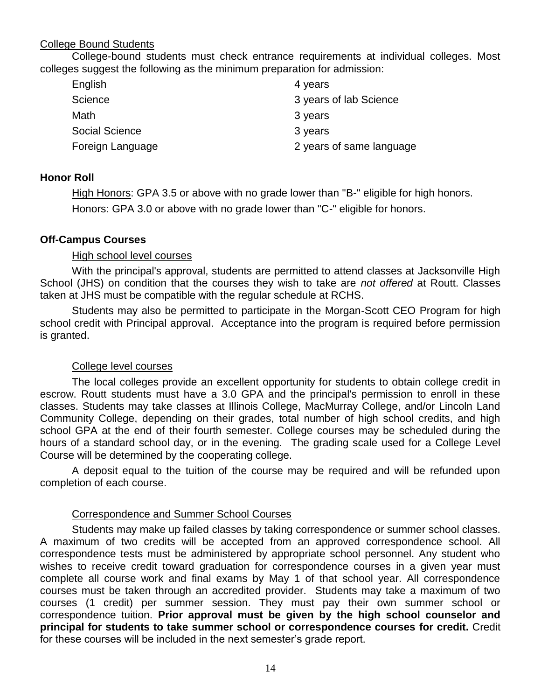## College Bound Students

College-bound students must check entrance requirements at individual colleges. Most colleges suggest the following as the minimum preparation for admission:

| English               | 4 years                  |
|-----------------------|--------------------------|
| Science               | 3 years of lab Science   |
| Math                  | 3 years                  |
| <b>Social Science</b> | 3 years                  |
| Foreign Language      | 2 years of same language |

## **Honor Roll**

High Honors: GPA 3.5 or above with no grade lower than "B-" eligible for high honors. Honors: GPA 3.0 or above with no grade lower than "C-" eligible for honors.

## **Off-Campus Courses**

## High school level courses

With the principal's approval, students are permitted to attend classes at Jacksonville High School (JHS) on condition that the courses they wish to take are *not offered* at Routt. Classes taken at JHS must be compatible with the regular schedule at RCHS.

Students may also be permitted to participate in the Morgan-Scott CEO Program for high school credit with Principal approval. Acceptance into the program is required before permission is granted.

## College level courses

The local colleges provide an excellent opportunity for students to obtain college credit in escrow. Routt students must have a 3.0 GPA and the principal's permission to enroll in these classes. Students may take classes at Illinois College, MacMurray College, and/or Lincoln Land Community College, depending on their grades, total number of high school credits, and high school GPA at the end of their fourth semester. College courses may be scheduled during the hours of a standard school day, or in the evening. The grading scale used for a College Level Course will be determined by the cooperating college.

A deposit equal to the tuition of the course may be required and will be refunded upon completion of each course.

## Correspondence and Summer School Courses

Students may make up failed classes by taking correspondence or summer school classes. A maximum of two credits will be accepted from an approved correspondence school. All correspondence tests must be administered by appropriate school personnel. Any student who wishes to receive credit toward graduation for correspondence courses in a given year must complete all course work and final exams by May 1 of that school year. All correspondence courses must be taken through an accredited provider. Students may take a maximum of two courses (1 credit) per summer session. They must pay their own summer school or correspondence tuition. **Prior approval must be given by the high school counselor and principal for students to take summer school or correspondence courses for credit.** Credit for these courses will be included in the next semester's grade report.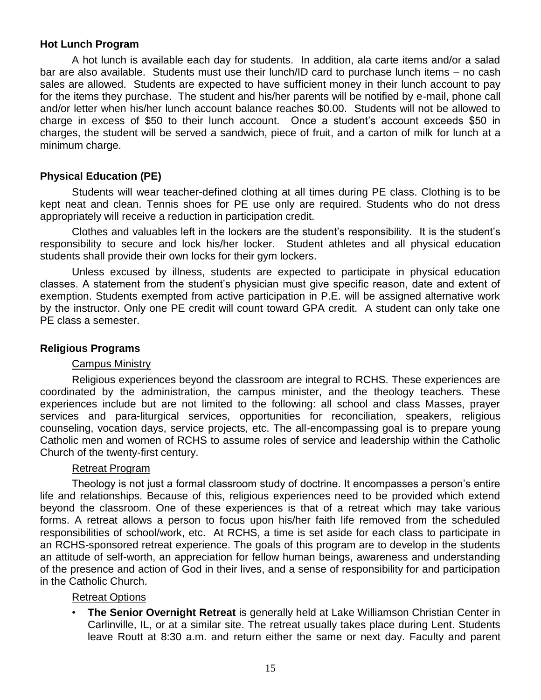## **Hot Lunch Program**

A hot lunch is available each day for students. In addition, ala carte items and/or a salad bar are also available. Students must use their lunch/ID card to purchase lunch items – no cash sales are allowed. Students are expected to have sufficient money in their lunch account to pay for the items they purchase. The student and his/her parents will be notified by e-mail, phone call and/or letter when his/her lunch account balance reaches \$0.00. Students will not be allowed to charge in excess of \$50 to their lunch account. Once a student's account exceeds \$50 in charges, the student will be served a sandwich, piece of fruit, and a carton of milk for lunch at a minimum charge.

## **Physical Education (PE)**

Students will wear teacher-defined clothing at all times during PE class. Clothing is to be kept neat and clean. Tennis shoes for PE use only are required. Students who do not dress appropriately will receive a reduction in participation credit.

Clothes and valuables left in the lockers are the student's responsibility. It is the student's responsibility to secure and lock his/her locker. Student athletes and all physical education students shall provide their own locks for their gym lockers.

Unless excused by illness, students are expected to participate in physical education classes. A statement from the student's physician must give specific reason, date and extent of exemption. Students exempted from active participation in P.E. will be assigned alternative work by the instructor. Only one PE credit will count toward GPA credit. A student can only take one PE class a semester.

#### **Religious Programs**

#### Campus Ministry

Religious experiences beyond the classroom are integral to RCHS. These experiences are coordinated by the administration, the campus minister, and the theology teachers. These experiences include but are not limited to the following: all school and class Masses, prayer services and para-liturgical services, opportunities for reconciliation, speakers, religious counseling, vocation days, service projects, etc. The all-encompassing goal is to prepare young Catholic men and women of RCHS to assume roles of service and leadership within the Catholic Church of the twenty-first century.

#### Retreat Program

Theology is not just a formal classroom study of doctrine. It encompasses a person's entire life and relationships. Because of this, religious experiences need to be provided which extend beyond the classroom. One of these experiences is that of a retreat which may take various forms. A retreat allows a person to focus upon his/her faith life removed from the scheduled responsibilities of school/work, etc. At RCHS, a time is set aside for each class to participate in an RCHS-sponsored retreat experience. The goals of this program are to develop in the students an attitude of self-worth, an appreciation for fellow human beings, awareness and understanding of the presence and action of God in their lives, and a sense of responsibility for and participation in the Catholic Church.

#### Retreat Options

• **The Senior Overnight Retreat** is generally held at Lake Williamson Christian Center in Carlinville, IL, or at a similar site. The retreat usually takes place during Lent. Students leave Routt at 8:30 a.m. and return either the same or next day. Faculty and parent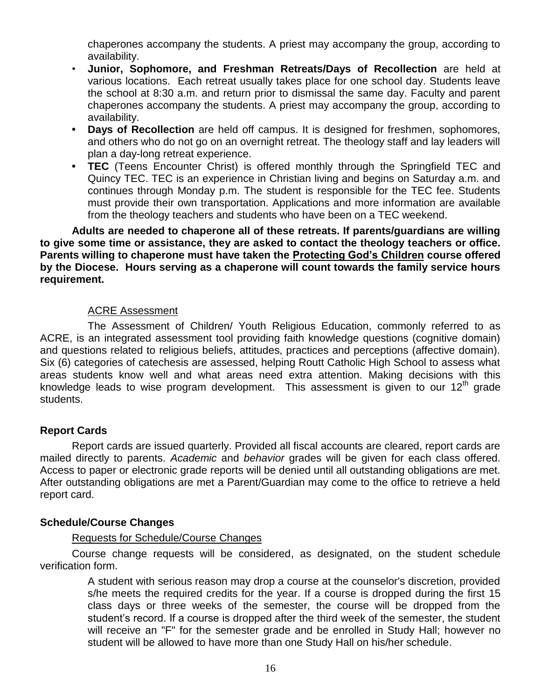chaperones accompany the students. A priest may accompany the group, according to availability.

- **Junior, Sophomore, and Freshman Retreats/Days of Recollection** are held at various locations. Each retreat usually takes place for one school day. Students leave the school at 8:30 a.m. and return prior to dismissal the same day. Faculty and parent chaperones accompany the students. A priest may accompany the group, according to availability.
- **Days of Recollection** are held off campus. It is designed for freshmen, sophomores, and others who do not go on an overnight retreat. The theology staff and lay leaders will plan a day-long retreat experience.
- **• TEC** (Teens Encounter Christ) is offered monthly through the Springfield TEC and Quincy TEC. TEC is an experience in Christian living and begins on Saturday a.m. and continues through Monday p.m. The student is responsible for the TEC fee. Students must provide their own transportation. Applications and more information are available from the theology teachers and students who have been on a TEC weekend.

## **Adults are needed to chaperone all of these retreats. If parents/guardians are willing to give some time or assistance, they are asked to contact the theology teachers or office. Parents willing to chaperone must have taken the Protecting God's Children course offered by the Diocese. Hours serving as a chaperone will count towards the family service hours requirement.**

## ACRE Assessment

The Assessment of Children/ Youth Religious Education, commonly referred to as ACRE, is an integrated assessment tool providing faith knowledge questions (cognitive domain) and questions related to religious beliefs, attitudes, practices and perceptions (affective domain). Six (6) categories of catechesis are assessed, helping Routt Catholic High School to assess what areas students know well and what areas need extra attention. Making decisions with this knowledge leads to wise program development. This assessment is given to our  $12<sup>th</sup>$  grade students.

## **Report Cards**

Report cards are issued quarterly. Provided all fiscal accounts are cleared, report cards are mailed directly to parents. *Academic* and *behavior* grades will be given for each class offered. Access to paper or electronic grade reports will be denied until all outstanding obligations are met. After outstanding obligations are met a Parent/Guardian may come to the office to retrieve a held report card.

## **Schedule/Course Changes**

## Requests for Schedule/Course Changes

Course change requests will be considered, as designated, on the student schedule verification form.

> A student with serious reason may drop a course at the counselor's discretion, provided s/he meets the required credits for the year. If a course is dropped during the first 15 class days or three weeks of the semester, the course will be dropped from the student's record. If a course is dropped after the third week of the semester, the student will receive an "F" for the semester grade and be enrolled in Study Hall; however no student will be allowed to have more than one Study Hall on his/her schedule.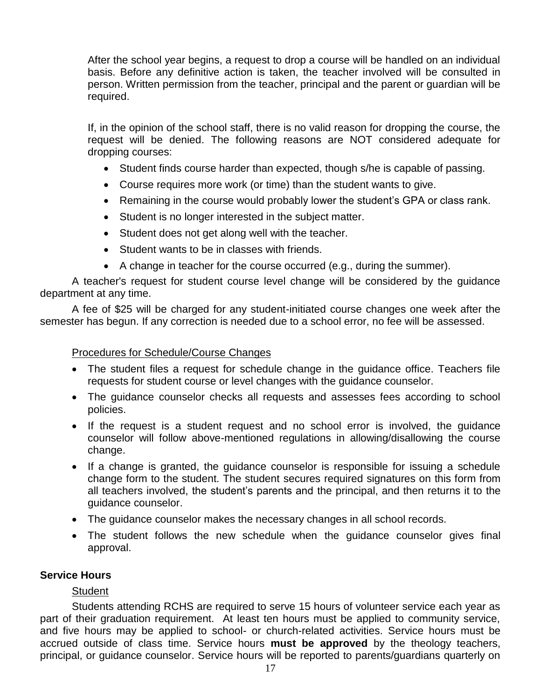After the school year begins, a request to drop a course will be handled on an individual basis. Before any definitive action is taken, the teacher involved will be consulted in person. Written permission from the teacher, principal and the parent or guardian will be required.

If, in the opinion of the school staff, there is no valid reason for dropping the course, the request will be denied. The following reasons are NOT considered adequate for dropping courses:

- Student finds course harder than expected, though s/he is capable of passing.
- Course requires more work (or time) than the student wants to give.
- Remaining in the course would probably lower the student's GPA or class rank.
- Student is no longer interested in the subject matter.
- Student does not get along well with the teacher.
- Student wants to be in classes with friends.
- A change in teacher for the course occurred (e.g., during the summer).

A teacher's request for student course level change will be considered by the guidance department at any time.

A fee of \$25 will be charged for any student-initiated course changes one week after the semester has begun. If any correction is needed due to a school error, no fee will be assessed.

## Procedures for Schedule/Course Changes

- The student files a request for schedule change in the guidance office. Teachers file requests for student course or level changes with the guidance counselor.
- The guidance counselor checks all requests and assesses fees according to school policies.
- If the request is a student request and no school error is involved, the quidance counselor will follow above-mentioned regulations in allowing/disallowing the course change.
- If a change is granted, the guidance counselor is responsible for issuing a schedule change form to the student. The student secures required signatures on this form from all teachers involved, the student's parents and the principal, and then returns it to the guidance counselor.
- The guidance counselor makes the necessary changes in all school records.
- The student follows the new schedule when the guidance counselor gives final approval.

## **Service Hours**

## **Student**

Students attending RCHS are required to serve 15 hours of volunteer service each year as part of their graduation requirement. At least ten hours must be applied to community service, and five hours may be applied to school- or church-related activities. Service hours must be accrued outside of class time. Service hours **must be approved** by the theology teachers, principal, or guidance counselor. Service hours will be reported to parents/guardians quarterly on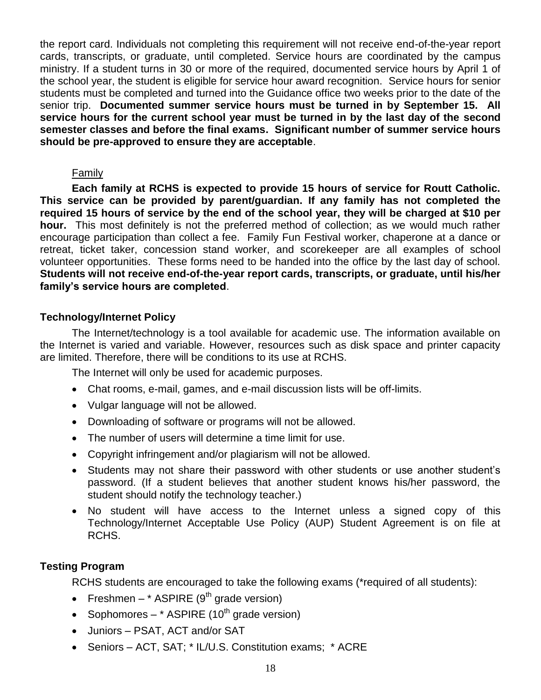the report card. Individuals not completing this requirement will not receive end-of-the-year report cards, transcripts, or graduate, until completed. Service hours are coordinated by the campus ministry. If a student turns in 30 or more of the required, documented service hours by April 1 of the school year, the student is eligible for service hour award recognition. Service hours for senior students must be completed and turned into the Guidance office two weeks prior to the date of the senior trip. **Documented summer service hours must be turned in by September 15. All service hours for the current school year must be turned in by the last day of the second semester classes and before the final exams. Significant number of summer service hours should be pre-approved to ensure they are acceptable**.

### Family

**Each family at RCHS is expected to provide 15 hours of service for Routt Catholic. This service can be provided by parent/guardian. If any family has not completed the required 15 hours of service by the end of the school year, they will be charged at \$10 per hour.** This most definitely is not the preferred method of collection; as we would much rather encourage participation than collect a fee. Family Fun Festival worker, chaperone at a dance or retreat, ticket taker, concession stand worker, and scorekeeper are all examples of school volunteer opportunities. These forms need to be handed into the office by the last day of school. **Students will not receive end-of-the-year report cards, transcripts, or graduate, until his/her family's service hours are completed**.

## **Technology/Internet Policy**

The Internet/technology is a tool available for academic use. The information available on the Internet is varied and variable. However, resources such as disk space and printer capacity are limited. Therefore, there will be conditions to its use at RCHS.

The Internet will only be used for academic purposes.

- Chat rooms, e-mail, games, and e-mail discussion lists will be off-limits.
- Vulgar language will not be allowed.
- Downloading of software or programs will not be allowed.
- The number of users will determine a time limit for use.
- Copyright infringement and/or plagiarism will not be allowed.
- Students may not share their password with other students or use another student's password. (If a student believes that another student knows his/her password, the student should notify the technology teacher.)
- No student will have access to the Internet unless a signed copy of this Technology/Internet Acceptable Use Policy (AUP) Student Agreement is on file at RCHS.

## **Testing Program**

RCHS students are encouraged to take the following exams (\*required of all students):

- Freshmen  $*$  ASPIRE (9<sup>th</sup> grade version)
- Sophomores  $*$  ASPIRE (10<sup>th</sup> grade version)
- Juniors PSAT, ACT and/or SAT
- Seniors ACT, SAT; \* IL/U.S. Constitution exams; \* ACRE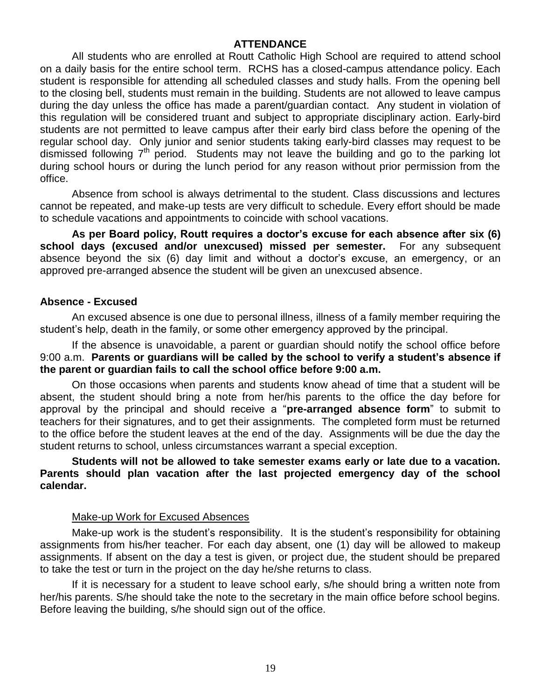#### **ATTENDANCE**

All students who are enrolled at Routt Catholic High School are required to attend school on a daily basis for the entire school term. RCHS has a closed-campus attendance policy. Each student is responsible for attending all scheduled classes and study halls. From the opening bell to the closing bell, students must remain in the building. Students are not allowed to leave campus during the day unless the office has made a parent/guardian contact. Any student in violation of this regulation will be considered truant and subject to appropriate disciplinary action. Early-bird students are not permitted to leave campus after their early bird class before the opening of the regular school day. Only junior and senior students taking early-bird classes may request to be dismissed following  $7<sup>th</sup>$  period. Students may not leave the building and go to the parking lot during school hours or during the lunch period for any reason without prior permission from the office.

Absence from school is always detrimental to the student. Class discussions and lectures cannot be repeated, and make-up tests are very difficult to schedule. Every effort should be made to schedule vacations and appointments to coincide with school vacations.

**As per Board policy, Routt requires a doctor's excuse for each absence after six (6) school days (excused and/or unexcused) missed per semester.** For any subsequent absence beyond the six (6) day limit and without a doctor's excuse, an emergency, or an approved pre-arranged absence the student will be given an unexcused absence.

#### **Absence - Excused**

An excused absence is one due to personal illness, illness of a family member requiring the student's help, death in the family, or some other emergency approved by the principal.

If the absence is unavoidable, a parent or guardian should notify the school office before 9:00 a.m. **Parents or guardians will be called by the school to verify a student's absence if the parent or guardian fails to call the school office before 9:00 a.m.**

On those occasions when parents and students know ahead of time that a student will be absent, the student should bring a note from her/his parents to the office the day before for approval by the principal and should receive a "**pre-arranged absence form**" to submit to teachers for their signatures, and to get their assignments. The completed form must be returned to the office before the student leaves at the end of the day. Assignments will be due the day the student returns to school, unless circumstances warrant a special exception.

**Students will not be allowed to take semester exams early or late due to a vacation. Parents should plan vacation after the last projected emergency day of the school calendar.**

## Make-up Work for Excused Absences

Make-up work is the student's responsibility. It is the student's responsibility for obtaining assignments from his/her teacher. For each day absent, one (1) day will be allowed to makeup assignments. If absent on the day a test is given, or project due, the student should be prepared to take the test or turn in the project on the day he/she returns to class.

If it is necessary for a student to leave school early, s/he should bring a written note from her/his parents. S/he should take the note to the secretary in the main office before school begins. Before leaving the building, s/he should sign out of the office.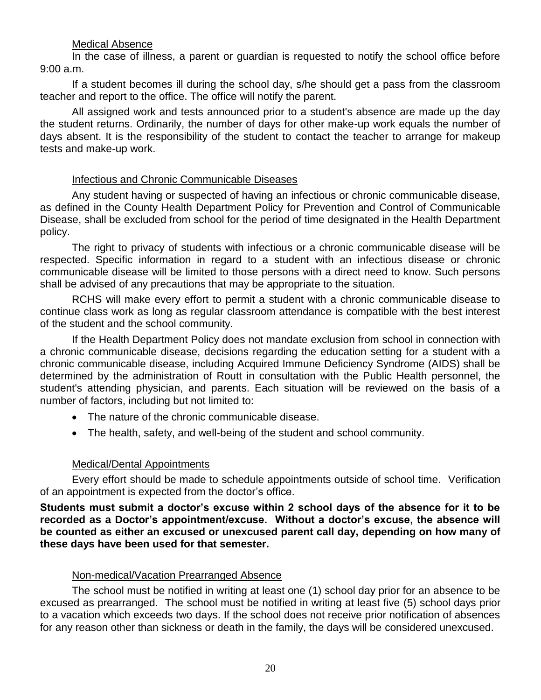## Medical Absence

In the case of illness, a parent or guardian is requested to notify the school office before 9:00 a.m.

If a student becomes ill during the school day, s/he should get a pass from the classroom teacher and report to the office. The office will notify the parent.

All assigned work and tests announced prior to a student's absence are made up the day the student returns. Ordinarily, the number of days for other make-up work equals the number of days absent. It is the responsibility of the student to contact the teacher to arrange for makeup tests and make-up work.

## Infectious and Chronic Communicable Diseases

Any student having or suspected of having an infectious or chronic communicable disease, as defined in the County Health Department Policy for Prevention and Control of Communicable Disease, shall be excluded from school for the period of time designated in the Health Department policy.

The right to privacy of students with infectious or a chronic communicable disease will be respected. Specific information in regard to a student with an infectious disease or chronic communicable disease will be limited to those persons with a direct need to know. Such persons shall be advised of any precautions that may be appropriate to the situation.

RCHS will make every effort to permit a student with a chronic communicable disease to continue class work as long as regular classroom attendance is compatible with the best interest of the student and the school community.

If the Health Department Policy does not mandate exclusion from school in connection with a chronic communicable disease, decisions regarding the education setting for a student with a chronic communicable disease, including Acquired Immune Deficiency Syndrome (AIDS) shall be determined by the administration of Routt in consultation with the Public Health personnel, the student's attending physician, and parents. Each situation will be reviewed on the basis of a number of factors, including but not limited to:

- The nature of the chronic communicable disease.
- The health, safety, and well-being of the student and school community.

## Medical/Dental Appointments

Every effort should be made to schedule appointments outside of school time. Verification of an appointment is expected from the doctor's office.

**Students must submit a doctor's excuse within 2 school days of the absence for it to be recorded as a Doctor's appointment/excuse. Without a doctor's excuse, the absence will be counted as either an excused or unexcused parent call day, depending on how many of these days have been used for that semester.**

## Non-medical/Vacation Prearranged Absence

The school must be notified in writing at least one (1) school day prior for an absence to be excused as prearranged.The school must be notified in writing at least five (5) school days prior to a vacation which exceeds two days. If the school does not receive prior notification of absences for any reason other than sickness or death in the family, the days will be considered unexcused.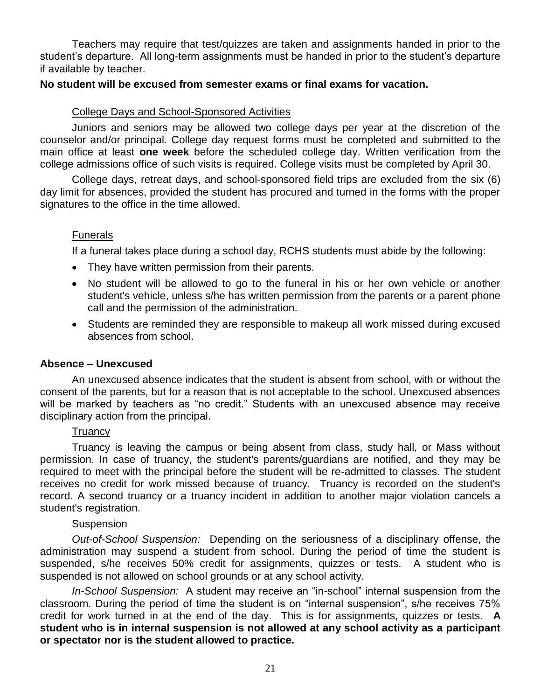Teachers may require that test/quizzes are taken and assignments handed in prior to the student's departure. All long-term assignments must be handed in prior to the student's departure if available by teacher.

#### **No student will be excused from semester exams or final exams for vacation.**

## College Days and School-Sponsored Activities

Juniors and seniors may be allowed two college days per year at the discretion of the counselor and/or principal. College day request forms must be completed and submitted to the main office at least **one week** before the scheduled college day. Written verification from the college admissions office of such visits is required. College visits must be completed by April 30.

College days, retreat days, and school-sponsored field trips are excluded from the six (6) day limit for absences, provided the student has procured and turned in the forms with the proper signatures to the office in the time allowed.

#### Funerals

If a funeral takes place during a school day, RCHS students must abide by the following:

- They have written permission from their parents.
- No student will be allowed to go to the funeral in his or her own vehicle or another student's vehicle, unless s/he has written permission from the parents or a parent phone call and the permission of the administration.
- Students are reminded they are responsible to makeup all work missed during excused absences from school.

#### **Absence – Unexcused**

An unexcused absence indicates that the student is absent from school, with or without the consent of the parents, but for a reason that is not acceptable to the school. Unexcused absences will be marked by teachers as "no credit." Students with an unexcused absence may receive disciplinary action from the principal.

#### **Truancy**

Truancy is leaving the campus or being absent from class, study hall, or Mass without permission. In case of truancy, the student's parents/guardians are notified, and they may be required to meet with the principal before the student will be re-admitted to classes. The student receives no credit for work missed because of truancy. Truancy is recorded on the student's record. A second truancy or a truancy incident in addition to another major violation cancels a student's registration.

#### Suspension

*Out-of-School Suspension:* Depending on the seriousness of a disciplinary offense, the administration may suspend a student from school. During the period of time the student is suspended, s/he receives 50% credit for assignments, quizzes or tests. A student who is suspended is not allowed on school grounds or at any school activity.

*In-School Suspension:* A student may receive an "in-school" internal suspension from the classroom. During the period of time the student is on "internal suspension", s/he receives 75% credit for work turned in at the end of the day. This is for assignments, quizzes or tests. **A student who is in internal suspension is not allowed at any school activity as a participant or spectator nor is the student allowed to practice.**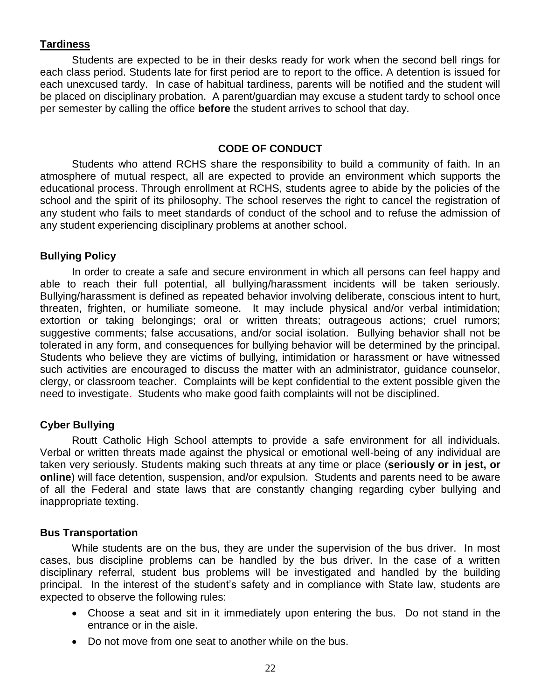## **Tardiness**

Students are expected to be in their desks ready for work when the second bell rings for each class period. Students late for first period are to report to the office. A detention is issued for each unexcused tardy. In case of habitual tardiness, parents will be notified and the student will be placed on disciplinary probation. A parent/guardian may excuse a student tardy to school once per semester by calling the office **before** the student arrives to school that day.

## **CODE OF CONDUCT**

Students who attend RCHS share the responsibility to build a community of faith. In an atmosphere of mutual respect, all are expected to provide an environment which supports the educational process. Through enrollment at RCHS, students agree to abide by the policies of the school and the spirit of its philosophy. The school reserves the right to cancel the registration of any student who fails to meet standards of conduct of the school and to refuse the admission of any student experiencing disciplinary problems at another school.

## **Bullying Policy**

In order to create a safe and secure environment in which all persons can feel happy and able to reach their full potential, all bullying/harassment incidents will be taken seriously. Bullying/harassment is defined as repeated behavior involving deliberate, conscious intent to hurt, threaten, frighten, or humiliate someone. It may include physical and/or verbal intimidation; extortion or taking belongings; oral or written threats; outrageous actions; cruel rumors; suggestive comments; false accusations, and/or social isolation. Bullying behavior shall not be tolerated in any form, and consequences for bullying behavior will be determined by the principal. Students who believe they are victims of bullying, intimidation or harassment or have witnessed such activities are encouraged to discuss the matter with an administrator, guidance counselor, clergy, or classroom teacher. Complaints will be kept confidential to the extent possible given the need to investigate. Students who make good faith complaints will not be disciplined.

## **Cyber Bullying**

Routt Catholic High School attempts to provide a safe environment for all individuals. Verbal or written threats made against the physical or emotional well-being of any individual are taken very seriously. Students making such threats at any time or place (**seriously or in jest, or online**) will face detention, suspension, and/or expulsion. Students and parents need to be aware of all the Federal and state laws that are constantly changing regarding cyber bullying and inappropriate texting.

## **Bus Transportation**

While students are on the bus, they are under the supervision of the bus driver. In most cases, bus discipline problems can be handled by the bus driver. In the case of a written disciplinary referral, student bus problems will be investigated and handled by the building principal. In the interest of the student's safety and in compliance with State law, students are expected to observe the following rules:

- Choose a seat and sit in it immediately upon entering the bus. Do not stand in the entrance or in the aisle.
- Do not move from one seat to another while on the bus.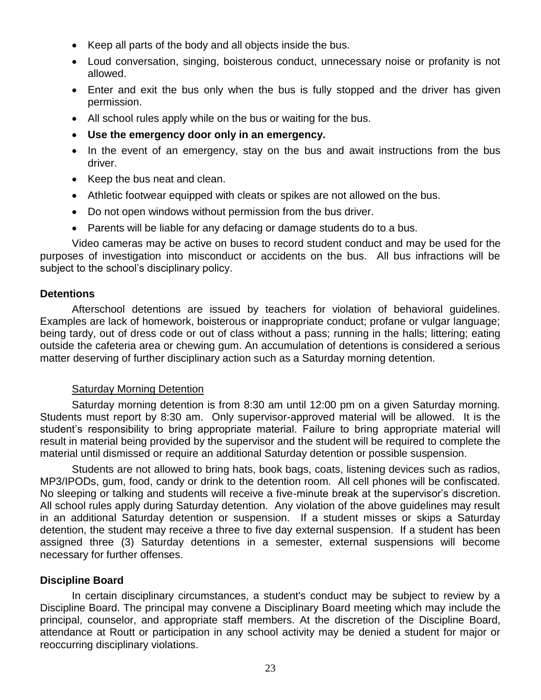- Keep all parts of the body and all objects inside the bus.
- Loud conversation, singing, boisterous conduct, unnecessary noise or profanity is not allowed.
- Enter and exit the bus only when the bus is fully stopped and the driver has given permission.
- All school rules apply while on the bus or waiting for the bus.
- **Use the emergency door only in an emergency.**
- In the event of an emergency, stay on the bus and await instructions from the bus driver.
- Keep the bus neat and clean.
- Athletic footwear equipped with cleats or spikes are not allowed on the bus.
- Do not open windows without permission from the bus driver.
- Parents will be liable for any defacing or damage students do to a bus.

Video cameras may be active on buses to record student conduct and may be used for the purposes of investigation into misconduct or accidents on the bus. All bus infractions will be subject to the school's disciplinary policy.

## **Detentions**

Afterschool detentions are issued by teachers for violation of behavioral guidelines. Examples are lack of homework, boisterous or inappropriate conduct; profane or vulgar language; being tardy, out of dress code or out of class without a pass; running in the halls; littering; eating outside the cafeteria area or chewing gum. An accumulation of detentions is considered a serious matter deserving of further disciplinary action such as a Saturday morning detention.

## Saturday Morning Detention

Saturday morning detention is from 8:30 am until 12:00 pm on a given Saturday morning. Students must report by 8:30 am. Only supervisor-approved material will be allowed. It is the student's responsibility to bring appropriate material. Failure to bring appropriate material will result in material being provided by the supervisor and the student will be required to complete the material until dismissed or require an additional Saturday detention or possible suspension.

Students are not allowed to bring hats, book bags, coats, listening devices such as radios, MP3/IPODs, gum, food, candy or drink to the detention room. All cell phones will be confiscated. No sleeping or talking and students will receive a five-minute break at the supervisor's discretion. All school rules apply during Saturday detention. Any violation of the above guidelines may result in an additional Saturday detention or suspension. If a student misses or skips a Saturday detention, the student may receive a three to five day external suspension. If a student has been assigned three (3) Saturday detentions in a semester, external suspensions will become necessary for further offenses.

## **Discipline Board**

In certain disciplinary circumstances, a student's conduct may be subject to review by a Discipline Board. The principal may convene a Disciplinary Board meeting which may include the principal, counselor, and appropriate staff members. At the discretion of the Discipline Board, attendance at Routt or participation in any school activity may be denied a student for major or reoccurring disciplinary violations.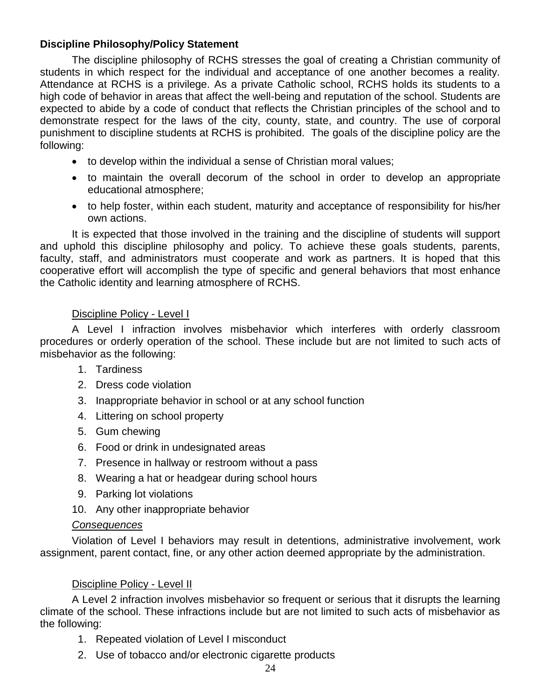## **Discipline Philosophy/Policy Statement**

The discipline philosophy of RCHS stresses the goal of creating a Christian community of students in which respect for the individual and acceptance of one another becomes a reality. Attendance at RCHS is a privilege. As a private Catholic school, RCHS holds its students to a high code of behavior in areas that affect the well-being and reputation of the school. Students are expected to abide by a code of conduct that reflects the Christian principles of the school and to demonstrate respect for the laws of the city, county, state, and country. The use of corporal punishment to discipline students at RCHS is prohibited. The goals of the discipline policy are the following:

- to develop within the individual a sense of Christian moral values;
- to maintain the overall decorum of the school in order to develop an appropriate educational atmosphere;
- to help foster, within each student, maturity and acceptance of responsibility for his/her own actions.

It is expected that those involved in the training and the discipline of students will support and uphold this discipline philosophy and policy. To achieve these goals students, parents, faculty, staff, and administrators must cooperate and work as partners. It is hoped that this cooperative effort will accomplish the type of specific and general behaviors that most enhance the Catholic identity and learning atmosphere of RCHS.

## Discipline Policy - Level I

A Level I infraction involves misbehavior which interferes with orderly classroom procedures or orderly operation of the school. These include but are not limited to such acts of misbehavior as the following:

- 1. Tardiness
- 2. Dress code violation
- 3. Inappropriate behavior in school or at any school function
- 4. Littering on school property
- 5. Gum chewing
- 6. Food or drink in undesignated areas
- 7. Presence in hallway or restroom without a pass
- 8. Wearing a hat or headgear during school hours
- 9. Parking lot violations
- 10. Any other inappropriate behavior

## *Consequences*

Violation of Level I behaviors may result in detentions, administrative involvement, work assignment, parent contact, fine, or any other action deemed appropriate by the administration.

## Discipline Policy - Level II

A Level 2 infraction involves misbehavior so frequent or serious that it disrupts the learning climate of the school. These infractions include but are not limited to such acts of misbehavior as the following:

- 1. Repeated violation of Level I misconduct
- 2. Use of tobacco and/or electronic cigarette products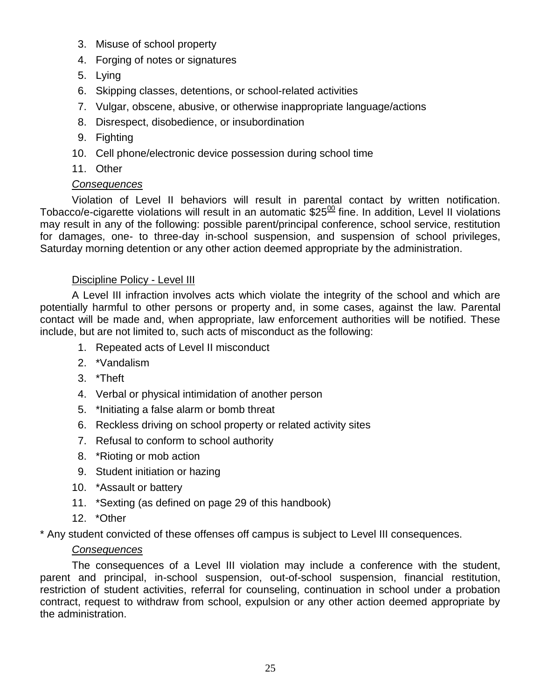- 3. Misuse of school property
- 4. Forging of notes or signatures
- 5. Lying
- 6. Skipping classes, detentions, or school-related activities
- 7. Vulgar, obscene, abusive, or otherwise inappropriate language/actions
- 8. Disrespect, disobedience, or insubordination
- 9. Fighting
- 10. Cell phone/electronic device possession during school time
- 11. Other

## *Consequences*

Violation of Level II behaviors will result in parental contact by written notification. Tobacco/e-cigarette violations will result in an automatic \$25 $^{00}$  fine. In addition, Level II violations may result in any of the following: possible parent/principal conference, school service, restitution for damages, one- to three-day in-school suspension, and suspension of school privileges, Saturday morning detention or any other action deemed appropriate by the administration.

## Discipline Policy - Level III

A Level III infraction involves acts which violate the integrity of the school and which are potentially harmful to other persons or property and, in some cases, against the law. Parental contact will be made and, when appropriate, law enforcement authorities will be notified. These include, but are not limited to, such acts of misconduct as the following:

- 1. Repeated acts of Level II misconduct
- 2. \*Vandalism
- 3. \*Theft
- 4. Verbal or physical intimidation of another person
- 5. \*Initiating a false alarm or bomb threat
- 6. Reckless driving on school property or related activity sites
- 7. Refusal to conform to school authority
- 8. \*Rioting or mob action
- 9. Student initiation or hazing
- 10. \*Assault or battery
- 11. \*Sexting (as defined on page 29 of this handbook)
- 12. \*Other

\* Any student convicted of these offenses off campus is subject to Level III consequences.

## *Consequences*

The consequences of a Level III violation may include a conference with the student, parent and principal, in-school suspension, out-of-school suspension, financial restitution, restriction of student activities, referral for counseling, continuation in school under a probation contract, request to withdraw from school, expulsion or any other action deemed appropriate by the administration.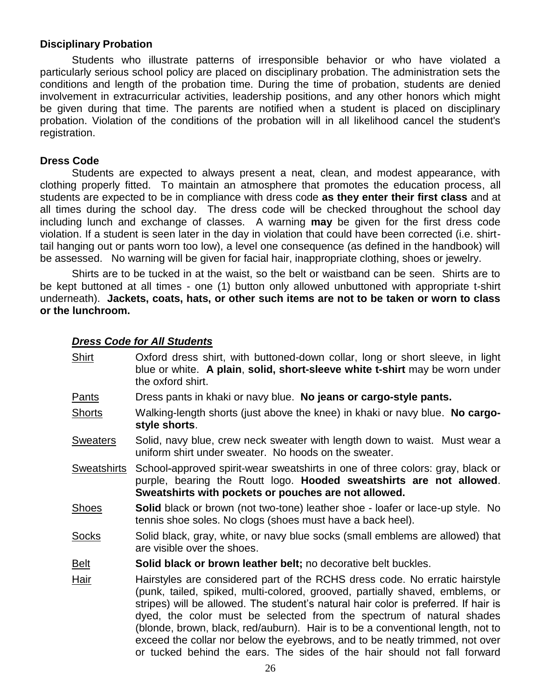## **Disciplinary Probation**

Students who illustrate patterns of irresponsible behavior or who have violated a particularly serious school policy are placed on disciplinary probation. The administration sets the conditions and length of the probation time. During the time of probation, students are denied involvement in extracurricular activities, leadership positions, and any other honors which might be given during that time. The parents are notified when a student is placed on disciplinary probation. Violation of the conditions of the probation will in all likelihood cancel the student's registration.

#### **Dress Code**

Students are expected to always present a neat, clean, and modest appearance, with clothing properly fitted. To maintain an atmosphere that promotes the education process, all students are expected to be in compliance with dress code **as they enter their first class** and at all times during the school day. The dress code will be checked throughout the school day including lunch and exchange of classes. A warning **may** be given for the first dress code violation. If a student is seen later in the day in violation that could have been corrected (i.e. shirttail hanging out or pants worn too low), a level one consequence (as defined in the handbook) will be assessed. No warning will be given for facial hair, inappropriate clothing, shoes or jewelry.

Shirts are to be tucked in at the waist, so the belt or waistband can be seen. Shirts are to be kept buttoned at all times - one (1) button only allowed unbuttoned with appropriate t-shirt underneath). **Jackets, coats, hats, or other such items are not to be taken or worn to class or the lunchroom.**

#### *Dress Code for All Students*

| <b>Shirt</b>       | Oxford dress shirt, with buttoned-down collar, long or short sleeve, in light<br>blue or white. A plain, solid, short-sleeve white t-shirt may be worn under<br>the oxford shirt.                                                                                                                                                                                                                                                                                                                                                                                         |  |
|--------------------|---------------------------------------------------------------------------------------------------------------------------------------------------------------------------------------------------------------------------------------------------------------------------------------------------------------------------------------------------------------------------------------------------------------------------------------------------------------------------------------------------------------------------------------------------------------------------|--|
| Pants              | Dress pants in khaki or navy blue. No jeans or cargo-style pants.                                                                                                                                                                                                                                                                                                                                                                                                                                                                                                         |  |
| <b>Shorts</b>      | Walking-length shorts (just above the knee) in khaki or navy blue. No cargo-<br>style shorts.                                                                                                                                                                                                                                                                                                                                                                                                                                                                             |  |
| <b>Sweaters</b>    | Solid, navy blue, crew neck sweater with length down to waist. Must wear a<br>uniform shirt under sweater. No hoods on the sweater.                                                                                                                                                                                                                                                                                                                                                                                                                                       |  |
| <b>Sweatshirts</b> | School-approved spirit-wear sweatshirts in one of three colors: gray, black or<br>purple, bearing the Routt logo. Hooded sweatshirts are not allowed.<br>Sweatshirts with pockets or pouches are not allowed.                                                                                                                                                                                                                                                                                                                                                             |  |
| <b>Shoes</b>       | <b>Solid</b> black or brown (not two-tone) leather shoe - loafer or lace-up style. No<br>tennis shoe soles. No clogs (shoes must have a back heel).                                                                                                                                                                                                                                                                                                                                                                                                                       |  |
| <u>Socks</u>       | Solid black, gray, white, or navy blue socks (small emblems are allowed) that<br>are visible over the shoes.                                                                                                                                                                                                                                                                                                                                                                                                                                                              |  |
| <u>Belt</u>        | Solid black or brown leather belt; no decorative belt buckles.                                                                                                                                                                                                                                                                                                                                                                                                                                                                                                            |  |
| <b>Hair</b>        | Hairstyles are considered part of the RCHS dress code. No erratic hairstyle<br>(punk, tailed, spiked, multi-colored, grooved, partially shaved, emblems, or<br>stripes) will be allowed. The student's natural hair color is preferred. If hair is<br>dyed, the color must be selected from the spectrum of natural shades<br>(blonde, brown, black, red/auburn). Hair is to be a conventional length, not to<br>exceed the collar nor below the eyebrows, and to be neatly trimmed, not over<br>or tucked behind the ears. The sides of the hair should not fall forward |  |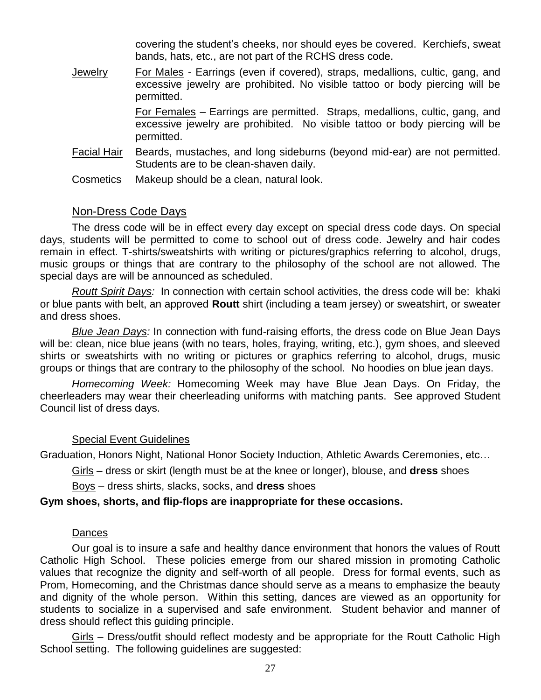covering the student's cheeks, nor should eyes be covered. Kerchiefs, sweat bands, hats, etc., are not part of the RCHS dress code.

Jewelry For Males - Earrings (even if covered), straps, medallions, cultic, gang, and excessive jewelry are prohibited. No visible tattoo or body piercing will be permitted.

> For Females – Earrings are permitted. Straps, medallions, cultic, gang, and excessive jewelry are prohibited. No visible tattoo or body piercing will be permitted.

- Facial Hair Beards, mustaches, and long sideburns (beyond mid-ear) are not permitted. Students are to be clean-shaven daily.
- Cosmetics Makeup should be a clean, natural look.

## Non-Dress Code Days

The dress code will be in effect every day except on special dress code days. On special days, students will be permitted to come to school out of dress code. Jewelry and hair codes remain in effect. T-shirts/sweatshirts with writing or pictures/graphics referring to alcohol, drugs, music groups or things that are contrary to the philosophy of the school are not allowed. The special days are will be announced as scheduled.

*Routt Spirit Days:* In connection with certain school activities, the dress code will be: khaki or blue pants with belt, an approved **Routt** shirt (including a team jersey) or sweatshirt, or sweater and dress shoes.

*Blue Jean Days:* In connection with fund-raising efforts, the dress code on Blue Jean Days will be: clean, nice blue jeans (with no tears, holes, fraying, writing, etc.), gym shoes, and sleeved shirts or sweatshirts with no writing or pictures or graphics referring to alcohol, drugs, music groups or things that are contrary to the philosophy of the school. No hoodies on blue jean days.

*Homecoming Week:* Homecoming Week may have Blue Jean Days. On Friday, the cheerleaders may wear their cheerleading uniforms with matching pants. See approved Student Council list of dress days.

## Special Event Guidelines

Graduation, Honors Night, National Honor Society Induction, Athletic Awards Ceremonies, etc…

Girls – dress or skirt (length must be at the knee or longer), blouse, and **dress** shoes

Boys – dress shirts, slacks, socks, and **dress** shoes

## **Gym shoes, shorts, and flip-flops are inappropriate for these occasions.**

#### **Dances**

Our goal is to insure a safe and healthy dance environment that honors the values of Routt Catholic High School. These policies emerge from our shared mission in promoting Catholic values that recognize the dignity and self-worth of all people. Dress for formal events, such as Prom, Homecoming, and the Christmas dance should serve as a means to emphasize the beauty and dignity of the whole person. Within this setting, dances are viewed as an opportunity for students to socialize in a supervised and safe environment. Student behavior and manner of dress should reflect this guiding principle.

Girls – Dress/outfit should reflect modesty and be appropriate for the Routt Catholic High School setting. The following guidelines are suggested: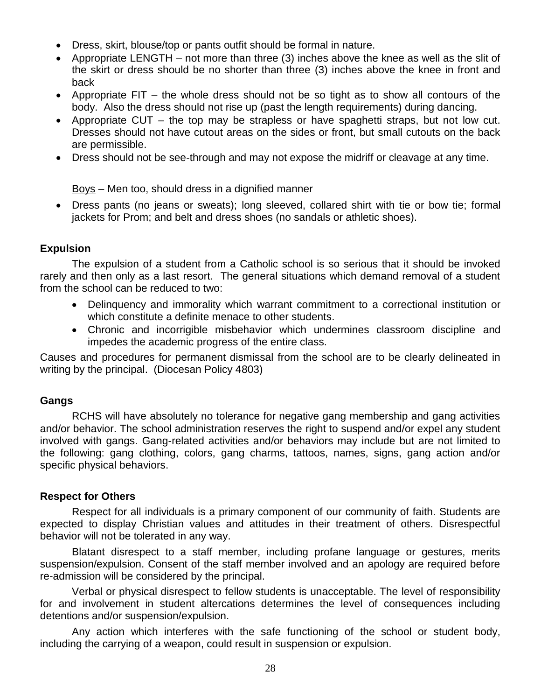- Dress, skirt, blouse/top or pants outfit should be formal in nature.
- Appropriate LENGTH not more than three (3) inches above the knee as well as the slit of the skirt or dress should be no shorter than three (3) inches above the knee in front and back
- Appropriate FIT the whole dress should not be so tight as to show all contours of the body. Also the dress should not rise up (past the length requirements) during dancing.
- Appropriate CUT the top may be strapless or have spaghetti straps, but not low cut. Dresses should not have cutout areas on the sides or front, but small cutouts on the back are permissible.
- Dress should not be see-through and may not expose the midriff or cleavage at any time.

Boys – Men too, should dress in a dignified manner

 Dress pants (no jeans or sweats); long sleeved, collared shirt with tie or bow tie; formal jackets for Prom; and belt and dress shoes (no sandals or athletic shoes).

## **Expulsion**

The expulsion of a student from a Catholic school is so serious that it should be invoked rarely and then only as a last resort. The general situations which demand removal of a student from the school can be reduced to two:

- Delinquency and immorality which warrant commitment to a correctional institution or which constitute a definite menace to other students.
- Chronic and incorrigible misbehavior which undermines classroom discipline and impedes the academic progress of the entire class.

Causes and procedures for permanent dismissal from the school are to be clearly delineated in writing by the principal. (Diocesan Policy 4803)

## **Gangs**

RCHS will have absolutely no tolerance for negative gang membership and gang activities and/or behavior. The school administration reserves the right to suspend and/or expel any student involved with gangs. Gang-related activities and/or behaviors may include but are not limited to the following: gang clothing, colors, gang charms, tattoos, names, signs, gang action and/or specific physical behaviors.

#### **Respect for Others**

Respect for all individuals is a primary component of our community of faith. Students are expected to display Christian values and attitudes in their treatment of others. Disrespectful behavior will not be tolerated in any way.

Blatant disrespect to a staff member, including profane language or gestures, merits suspension/expulsion. Consent of the staff member involved and an apology are required before re-admission will be considered by the principal.

Verbal or physical disrespect to fellow students is unacceptable. The level of responsibility for and involvement in student altercations determines the level of consequences including detentions and/or suspension/expulsion.

Any action which interferes with the safe functioning of the school or student body, including the carrying of a weapon, could result in suspension or expulsion.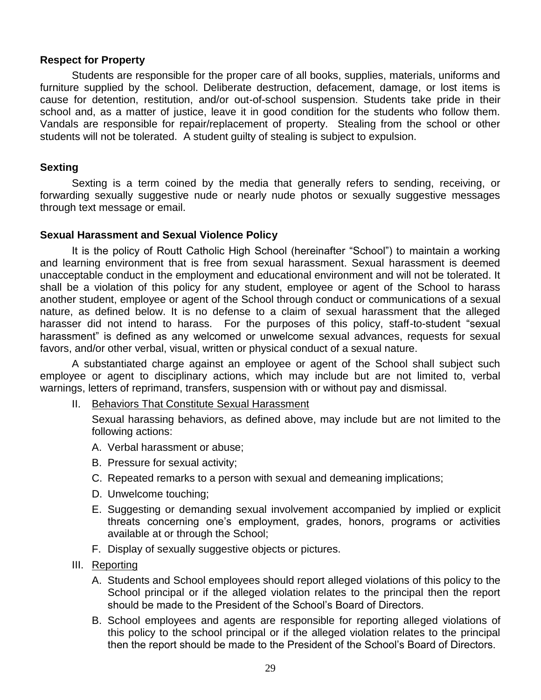## **Respect for Property**

Students are responsible for the proper care of all books, supplies, materials, uniforms and furniture supplied by the school. Deliberate destruction, defacement, damage, or lost items is cause for detention, restitution, and/or out-of-school suspension. Students take pride in their school and, as a matter of justice, leave it in good condition for the students who follow them. Vandals are responsible for repair/replacement of property. Stealing from the school or other students will not be tolerated. A student guilty of stealing is subject to expulsion.

### **Sexting**

Sexting is a term coined by the media that generally refers to sending, receiving, or forwarding sexually suggestive nude or nearly nude photos or sexually suggestive messages through text message or email.

#### **Sexual Harassment and Sexual Violence Policy**

It is the policy of Routt Catholic High School (hereinafter "School") to maintain a working and learning environment that is free from sexual harassment. Sexual harassment is deemed unacceptable conduct in the employment and educational environment and will not be tolerated. It shall be a violation of this policy for any student, employee or agent of the School to harass another student, employee or agent of the School through conduct or communications of a sexual nature, as defined below. It is no defense to a claim of sexual harassment that the alleged harasser did not intend to harass. For the purposes of this policy, staff-to-student "sexual harassment" is defined as any welcomed or unwelcome sexual advances, requests for sexual favors, and/or other verbal, visual, written or physical conduct of a sexual nature.

A substantiated charge against an employee or agent of the School shall subject such employee or agent to disciplinary actions, which may include but are not limited to, verbal warnings, letters of reprimand, transfers, suspension with or without pay and dismissal.

II. Behaviors That Constitute Sexual Harassment

Sexual harassing behaviors, as defined above, may include but are not limited to the following actions:

- A. Verbal harassment or abuse;
- B. Pressure for sexual activity;
- C. Repeated remarks to a person with sexual and demeaning implications;
- D. Unwelcome touching;
- E. Suggesting or demanding sexual involvement accompanied by implied or explicit threats concerning one's employment, grades, honors, programs or activities available at or through the School;
- F. Display of sexually suggestive objects or pictures.
- III. Reporting
	- A. Students and School employees should report alleged violations of this policy to the School principal or if the alleged violation relates to the principal then the report should be made to the President of the School's Board of Directors.
	- B. School employees and agents are responsible for reporting alleged violations of this policy to the school principal or if the alleged violation relates to the principal then the report should be made to the President of the School's Board of Directors.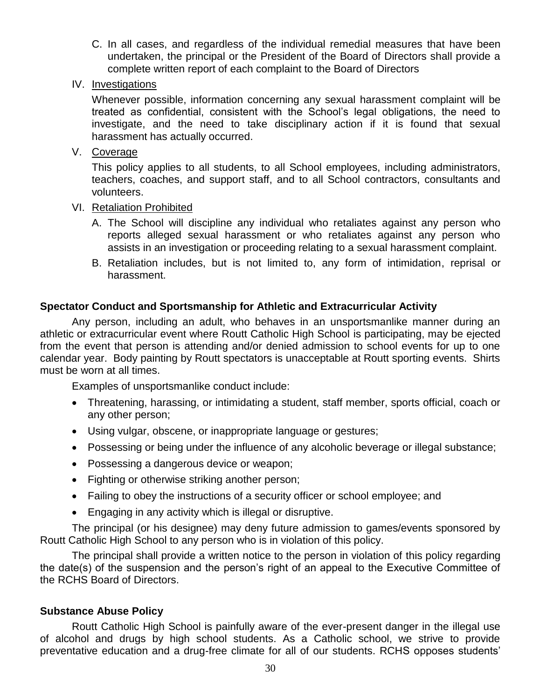- C. In all cases, and regardless of the individual remedial measures that have been undertaken, the principal or the President of the Board of Directors shall provide a complete written report of each complaint to the Board of Directors
- IV. Investigations

Whenever possible, information concerning any sexual harassment complaint will be treated as confidential, consistent with the School's legal obligations, the need to investigate, and the need to take disciplinary action if it is found that sexual harassment has actually occurred.

V. Coverage

This policy applies to all students, to all School employees, including administrators, teachers, coaches, and support staff, and to all School contractors, consultants and volunteers.

- VI. Retaliation Prohibited
	- A. The School will discipline any individual who retaliates against any person who reports alleged sexual harassment or who retaliates against any person who assists in an investigation or proceeding relating to a sexual harassment complaint.
	- B. Retaliation includes, but is not limited to, any form of intimidation, reprisal or harassment.

## **Spectator Conduct and Sportsmanship for Athletic and Extracurricular Activity**

Any person, including an adult, who behaves in an unsportsmanlike manner during an athletic or extracurricular event where Routt Catholic High School is participating, may be ejected from the event that person is attending and/or denied admission to school events for up to one calendar year. Body painting by Routt spectators is unacceptable at Routt sporting events. Shirts must be worn at all times.

Examples of unsportsmanlike conduct include:

- Threatening, harassing, or intimidating a student, staff member, sports official, coach or any other person;
- Using vulgar, obscene, or inappropriate language or gestures;
- Possessing or being under the influence of any alcoholic beverage or illegal substance;
- Possessing a dangerous device or weapon;
- Fighting or otherwise striking another person;
- Failing to obey the instructions of a security officer or school employee; and
- Engaging in any activity which is illegal or disruptive.

The principal (or his designee) may deny future admission to games/events sponsored by Routt Catholic High School to any person who is in violation of this policy.

The principal shall provide a written notice to the person in violation of this policy regarding the date(s) of the suspension and the person's right of an appeal to the Executive Committee of the RCHS Board of Directors.

## **Substance Abuse Policy**

Routt Catholic High School is painfully aware of the ever-present danger in the illegal use of alcohol and drugs by high school students. As a Catholic school, we strive to provide preventative education and a drug-free climate for all of our students. RCHS opposes students'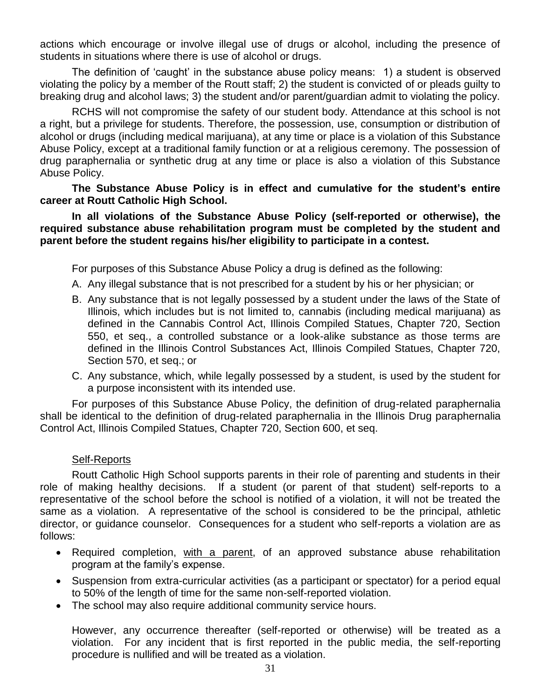actions which encourage or involve illegal use of drugs or alcohol, including the presence of students in situations where there is use of alcohol or drugs.

The definition of 'caught' in the substance abuse policy means: 1) a student is observed violating the policy by a member of the Routt staff; 2) the student is convicted of or pleads guilty to breaking drug and alcohol laws; 3) the student and/or parent/guardian admit to violating the policy.

RCHS will not compromise the safety of our student body. Attendance at this school is not a right, but a privilege for students. Therefore, the possession, use, consumption or distribution of alcohol or drugs (including medical marijuana), at any time or place is a violation of this Substance Abuse Policy, except at a traditional family function or at a religious ceremony. The possession of drug paraphernalia or synthetic drug at any time or place is also a violation of this Substance Abuse Policy.

**The Substance Abuse Policy is in effect and cumulative for the student's entire career at Routt Catholic High School.**

**In all violations of the Substance Abuse Policy (self-reported or otherwise), the required substance abuse rehabilitation program must be completed by the student and parent before the student regains his/her eligibility to participate in a contest.**

For purposes of this Substance Abuse Policy a drug is defined as the following:

- A. Any illegal substance that is not prescribed for a student by his or her physician; or
- B. Any substance that is not legally possessed by a student under the laws of the State of Illinois, which includes but is not limited to, cannabis (including medical marijuana) as defined in the Cannabis Control Act, Illinois Compiled Statues, Chapter 720, Section 550, et seq., a controlled substance or a look-alike substance as those terms are defined in the Illinois Control Substances Act, Illinois Compiled Statues, Chapter 720, Section 570, et seq.; or
- C. Any substance, which, while legally possessed by a student, is used by the student for a purpose inconsistent with its intended use.

For purposes of this Substance Abuse Policy, the definition of drug-related paraphernalia shall be identical to the definition of drug-related paraphernalia in the Illinois Drug paraphernalia Control Act, Illinois Compiled Statues, Chapter 720, Section 600, et seq.

#### Self-Reports

Routt Catholic High School supports parents in their role of parenting and students in their role of making healthy decisions. If a student (or parent of that student) self-reports to a representative of the school before the school is notified of a violation, it will not be treated the same as a violation. A representative of the school is considered to be the principal, athletic director, or guidance counselor. Consequences for a student who self-reports a violation are as follows:

- Required completion, with a parent, of an approved substance abuse rehabilitation program at the family's expense.
- Suspension from extra-curricular activities (as a participant or spectator) for a period equal to 50% of the length of time for the same non-self-reported violation.
- The school may also require additional community service hours.

However, any occurrence thereafter (self-reported or otherwise) will be treated as a violation. For any incident that is first reported in the public media, the self-reporting procedure is nullified and will be treated as a violation.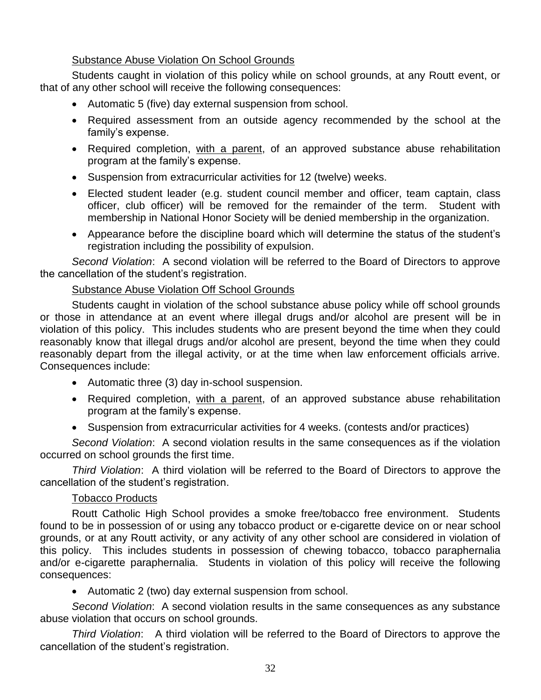## Substance Abuse Violation On School Grounds

Students caught in violation of this policy while on school grounds, at any Routt event, or that of any other school will receive the following consequences:

- Automatic 5 (five) day external suspension from school.
- Required assessment from an outside agency recommended by the school at the family's expense.
- Required completion, with a parent, of an approved substance abuse rehabilitation program at the family's expense.
- Suspension from extracurricular activities for 12 (twelve) weeks.
- Elected student leader (e.g. student council member and officer, team captain, class officer, club officer) will be removed for the remainder of the term. Student with membership in National Honor Society will be denied membership in the organization.
- Appearance before the discipline board which will determine the status of the student's registration including the possibility of expulsion.

*Second Violation*: A second violation will be referred to the Board of Directors to approve the cancellation of the student's registration.

## Substance Abuse Violation Off School Grounds

Students caught in violation of the school substance abuse policy while off school grounds or those in attendance at an event where illegal drugs and/or alcohol are present will be in violation of this policy. This includes students who are present beyond the time when they could reasonably know that illegal drugs and/or alcohol are present, beyond the time when they could reasonably depart from the illegal activity, or at the time when law enforcement officials arrive. Consequences include:

- Automatic three (3) day in-school suspension.
- Required completion, with a parent, of an approved substance abuse rehabilitation program at the family's expense.
- Suspension from extracurricular activities for 4 weeks. (contests and/or practices)

*Second Violation*: A second violation results in the same consequences as if the violation occurred on school grounds the first time.

*Third Violation*: A third violation will be referred to the Board of Directors to approve the cancellation of the student's registration.

## Tobacco Products

Routt Catholic High School provides a smoke free/tobacco free environment. Students found to be in possession of or using any tobacco product or e-cigarette device on or near school grounds, or at any Routt activity, or any activity of any other school are considered in violation of this policy. This includes students in possession of chewing tobacco, tobacco paraphernalia and/or e-cigarette paraphernalia. Students in violation of this policy will receive the following consequences:

• Automatic 2 (two) day external suspension from school.

*Second Violation*: A second violation results in the same consequences as any substance abuse violation that occurs on school grounds.

*Third Violation*: A third violation will be referred to the Board of Directors to approve the cancellation of the student's registration.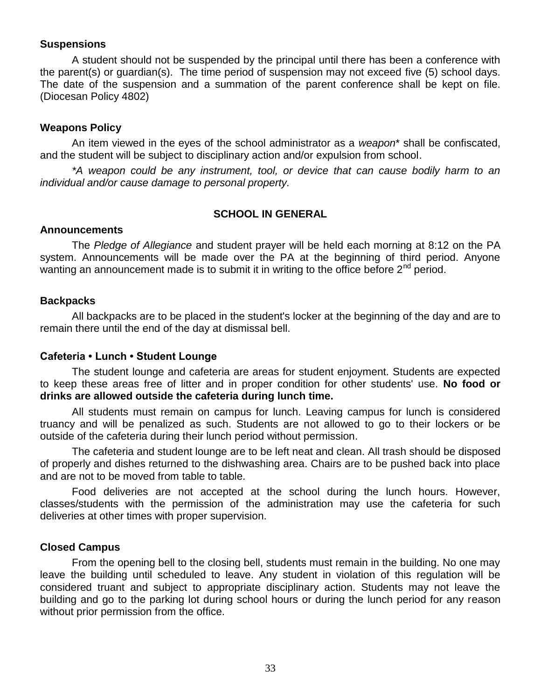#### **Suspensions**

A student should not be suspended by the principal until there has been a conference with the parent(s) or guardian(s). The time period of suspension may not exceed five (5) school days. The date of the suspension and a summation of the parent conference shall be kept on file. (Diocesan Policy 4802)

### **Weapons Policy**

An item viewed in the eyes of the school administrator as a *weapon*\* shall be confiscated, and the student will be subject to disciplinary action and/or expulsion from school.

*\*A weapon could be any instrument, tool, or device that can cause bodily harm to an individual and/or cause damage to personal property.*

#### **SCHOOL IN GENERAL**

#### **Announcements**

The *Pledge of Allegiance* and student prayer will be held each morning at 8:12 on the PA system. Announcements will be made over the PA at the beginning of third period. Anyone wanting an announcement made is to submit it in writing to the office before  $2<sup>nd</sup>$  period.

#### **Backpacks**

All backpacks are to be placed in the student's locker at the beginning of the day and are to remain there until the end of the day at dismissal bell.

## **Cafeteria • Lunch • Student Lounge**

The student lounge and cafeteria are areas for student enjoyment. Students are expected to keep these areas free of litter and in proper condition for other students' use. **No food or drinks are allowed outside the cafeteria during lunch time.**

All students must remain on campus for lunch. Leaving campus for lunch is considered truancy and will be penalized as such. Students are not allowed to go to their lockers or be outside of the cafeteria during their lunch period without permission.

The cafeteria and student lounge are to be left neat and clean. All trash should be disposed of properly and dishes returned to the dishwashing area. Chairs are to be pushed back into place and are not to be moved from table to table.

Food deliveries are not accepted at the school during the lunch hours. However, classes/students with the permission of the administration may use the cafeteria for such deliveries at other times with proper supervision.

## **Closed Campus**

From the opening bell to the closing bell, students must remain in the building. No one may leave the building until scheduled to leave. Any student in violation of this regulation will be considered truant and subject to appropriate disciplinary action. Students may not leave the building and go to the parking lot during school hours or during the lunch period for any reason without prior permission from the office.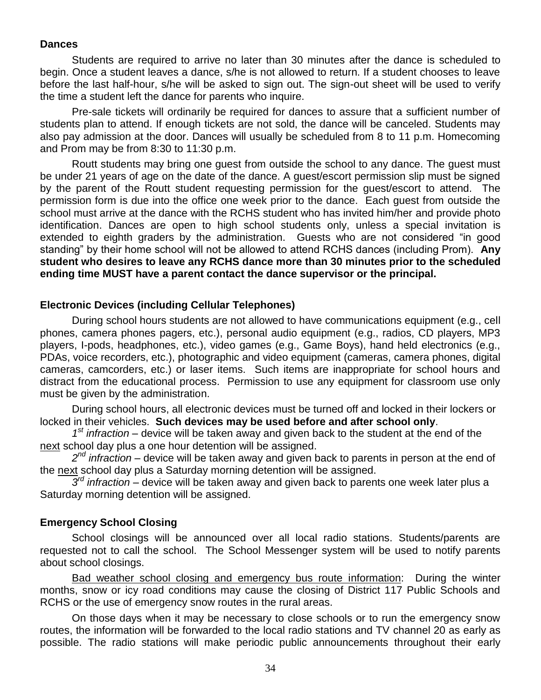### **Dances**

Students are required to arrive no later than 30 minutes after the dance is scheduled to begin. Once a student leaves a dance, s/he is not allowed to return. If a student chooses to leave before the last half-hour, s/he will be asked to sign out. The sign-out sheet will be used to verify the time a student left the dance for parents who inquire.

Pre-sale tickets will ordinarily be required for dances to assure that a sufficient number of students plan to attend. If enough tickets are not sold, the dance will be canceled. Students may also pay admission at the door. Dances will usually be scheduled from 8 to 11 p.m. Homecoming and Prom may be from 8:30 to 11:30 p.m.

Routt students may bring one guest from outside the school to any dance. The guest must be under 21 years of age on the date of the dance. A guest/escort permission slip must be signed by the parent of the Routt student requesting permission for the guest/escort to attend. The permission form is due into the office one week prior to the dance. Each guest from outside the school must arrive at the dance with the RCHS student who has invited him/her and provide photo identification. Dances are open to high school students only, unless a special invitation is extended to eighth graders by the administration. Guests who are not considered "in good standing" by their home school will not be allowed to attend RCHS dances (including Prom). **Any student who desires to leave any RCHS dance more than 30 minutes prior to the scheduled ending time MUST have a parent contact the dance supervisor or the principal.**

#### **Electronic Devices (including Cellular Telephones)**

During school hours students are not allowed to have communications equipment (e.g., cell phones, camera phones pagers, etc.), personal audio equipment (e.g., radios, CD players, MP3 players, I-pods, headphones, etc.), video games (e.g., Game Boys), hand held electronics (e.g., PDAs, voice recorders, etc.), photographic and video equipment (cameras, camera phones, digital cameras, camcorders, etc.) or laser items. Such items are inappropriate for school hours and distract from the educational process. Permission to use any equipment for classroom use only must be given by the administration.

During school hours, all electronic devices must be turned off and locked in their lockers or locked in their vehicles. **Such devices may be used before and after school only**.

*1 st infraction –* device will be taken away and given back to the student at the end of the next school day plus a one hour detention will be assigned.

*2 nd infraction* – device will be taken away and given back to parents in person at the end of the next school day plus a Saturday morning detention will be assigned.

 $\overline{3}$ <sup>rd</sup> *infraction* – device will be taken away and given back to parents one week later plus a Saturday morning detention will be assigned.

## **Emergency School Closing**

School closings will be announced over all local radio stations. Students/parents are requested not to call the school. The School Messenger system will be used to notify parents about school closings.

Bad weather school closing and emergency bus route information: During the winter months, snow or icy road conditions may cause the closing of District 117 Public Schools and RCHS or the use of emergency snow routes in the rural areas.

On those days when it may be necessary to close schools or to run the emergency snow routes, the information will be forwarded to the local radio stations and TV channel 20 as early as possible. The radio stations will make periodic public announcements throughout their early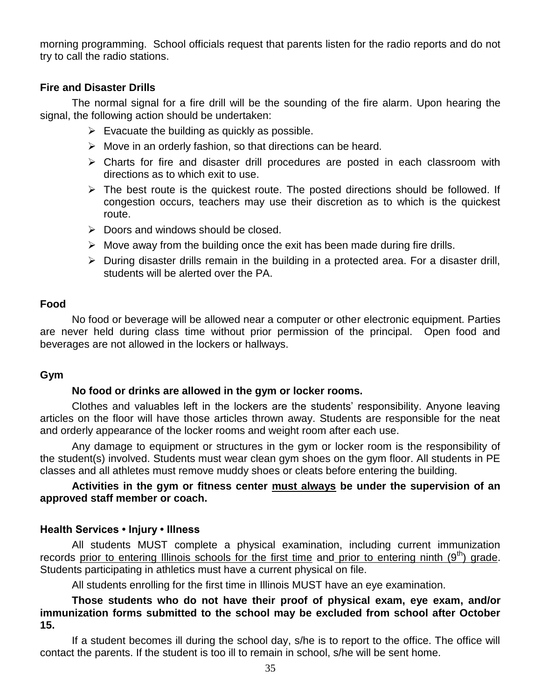morning programming. School officials request that parents listen for the radio reports and do not try to call the radio stations.

## **Fire and Disaster Drills**

The normal signal for a fire drill will be the sounding of the fire alarm. Upon hearing the signal, the following action should be undertaken:

- $\triangleright$  Evacuate the building as quickly as possible.
- $\triangleright$  Move in an orderly fashion, so that directions can be heard.
- Charts for fire and disaster drill procedures are posted in each classroom with directions as to which exit to use.
- $\triangleright$  The best route is the quickest route. The posted directions should be followed. If congestion occurs, teachers may use their discretion as to which is the quickest route.
- $\triangleright$  Doors and windows should be closed.
- $\triangleright$  Move away from the building once the exit has been made during fire drills.
- $\triangleright$  During disaster drills remain in the building in a protected area. For a disaster drill, students will be alerted over the PA.

## **Food**

No food or beverage will be allowed near a computer or other electronic equipment. Parties are never held during class time without prior permission of the principal. Open food and beverages are not allowed in the lockers or hallways.

## **Gym**

## **No food or drinks are allowed in the gym or locker rooms.**

Clothes and valuables left in the lockers are the students' responsibility. Anyone leaving articles on the floor will have those articles thrown away. Students are responsible for the neat and orderly appearance of the locker rooms and weight room after each use.

Any damage to equipment or structures in the gym or locker room is the responsibility of the student(s) involved. Students must wear clean gym shoes on the gym floor. All students in PE classes and all athletes must remove muddy shoes or cleats before entering the building.

## **Activities in the gym or fitness center must always be under the supervision of an approved staff member or coach.**

## **Health Services • Injury • Illness**

All students MUST complete a physical examination, including current immunization records prior to entering Illinois schools for the first time and prior to entering ninth  $(9<sup>th</sup>)$  grade. Students participating in athletics must have a current physical on file.

All students enrolling for the first time in Illinois MUST have an eye examination.

**Those students who do not have their proof of physical exam, eye exam, and/or immunization forms submitted to the school may be excluded from school after October 15.**

If a student becomes ill during the school day, s/he is to report to the office. The office will contact the parents. If the student is too ill to remain in school, s/he will be sent home.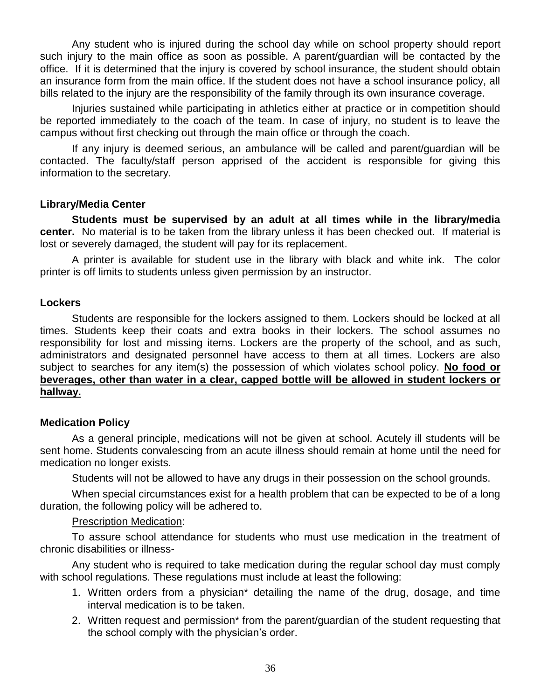Any student who is injured during the school day while on school property should report such injury to the main office as soon as possible. A parent/guardian will be contacted by the office. If it is determined that the injury is covered by school insurance, the student should obtain an insurance form from the main office. If the student does not have a school insurance policy, all bills related to the injury are the responsibility of the family through its own insurance coverage.

Injuries sustained while participating in athletics either at practice or in competition should be reported immediately to the coach of the team. In case of injury, no student is to leave the campus without first checking out through the main office or through the coach.

If any injury is deemed serious, an ambulance will be called and parent/guardian will be contacted. The faculty/staff person apprised of the accident is responsible for giving this information to the secretary.

#### **Library/Media Center**

**Students must be supervised by an adult at all times while in the library/media center.** No material is to be taken from the library unless it has been checked out. If material is lost or severely damaged, the student will pay for its replacement.

A printer is available for student use in the library with black and white ink. The color printer is off limits to students unless given permission by an instructor.

#### **Lockers**

Students are responsible for the lockers assigned to them. Lockers should be locked at all times. Students keep their coats and extra books in their lockers. The school assumes no responsibility for lost and missing items. Lockers are the property of the school, and as such, administrators and designated personnel have access to them at all times. Lockers are also subject to searches for any item(s) the possession of which violates school policy. **No food or beverages, other than water in a clear, capped bottle will be allowed in student lockers or hallway.**

## **Medication Policy**

As a general principle, medications will not be given at school. Acutely ill students will be sent home. Students convalescing from an acute illness should remain at home until the need for medication no longer exists.

Students will not be allowed to have any drugs in their possession on the school grounds.

When special circumstances exist for a health problem that can be expected to be of a long duration, the following policy will be adhered to.

## Prescription Medication:

To assure school attendance for students who must use medication in the treatment of chronic disabilities or illness-

Any student who is required to take medication during the regular school day must comply with school regulations. These regulations must include at least the following:

- 1. Written orders from a physician\* detailing the name of the drug, dosage, and time interval medication is to be taken.
- 2. Written request and permission\* from the parent/guardian of the student requesting that the school comply with the physician's order.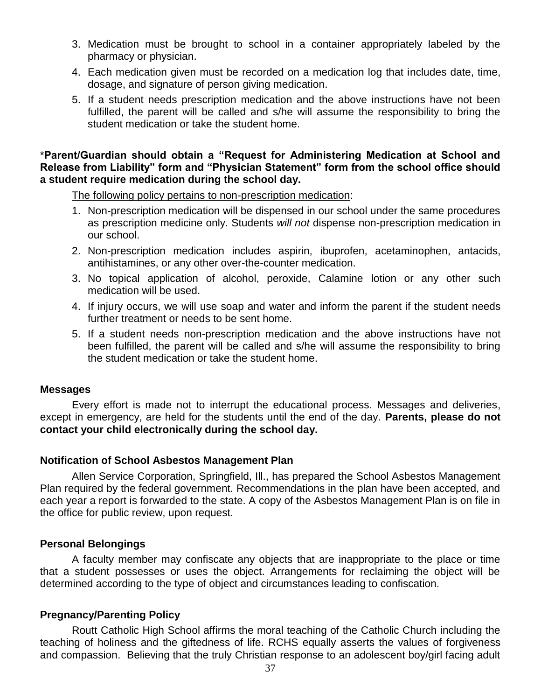- 3. Medication must be brought to school in a container appropriately labeled by the pharmacy or physician.
- 4. Each medication given must be recorded on a medication log that includes date, time, dosage, and signature of person giving medication.
- 5. If a student needs prescription medication and the above instructions have not been fulfilled, the parent will be called and s/he will assume the responsibility to bring the student medication or take the student home.

#### \***Parent/Guardian should obtain a "Request for Administering Medication at School and Release from Liability" form and "Physician Statement" form from the school office should a student require medication during the school day.**

The following policy pertains to non-prescription medication:

- 1. Non-prescription medication will be dispensed in our school under the same procedures as prescription medicine only. Students *will not* dispense non-prescription medication in our school.
- 2. Non-prescription medication includes aspirin, ibuprofen, acetaminophen, antacids, antihistamines, or any other over-the-counter medication.
- 3. No topical application of alcohol, peroxide, Calamine lotion or any other such medication will be used.
- 4. If injury occurs, we will use soap and water and inform the parent if the student needs further treatment or needs to be sent home.
- 5. If a student needs non-prescription medication and the above instructions have not been fulfilled, the parent will be called and s/he will assume the responsibility to bring the student medication or take the student home.

#### **Messages**

Every effort is made not to interrupt the educational process. Messages and deliveries, except in emergency, are held for the students until the end of the day. **Parents, please do not contact your child electronically during the school day.**

#### **Notification of School Asbestos Management Plan**

Allen Service Corporation, Springfield, Ill., has prepared the School Asbestos Management Plan required by the federal government. Recommendations in the plan have been accepted, and each year a report is forwarded to the state. A copy of the Asbestos Management Plan is on file in the office for public review, upon request.

#### **Personal Belongings**

A faculty member may confiscate any objects that are inappropriate to the place or time that a student possesses or uses the object. Arrangements for reclaiming the object will be determined according to the type of object and circumstances leading to confiscation.

## **Pregnancy/Parenting Policy**

Routt Catholic High School affirms the moral teaching of the Catholic Church including the teaching of holiness and the giftedness of life. RCHS equally asserts the values of forgiveness and compassion. Believing that the truly Christian response to an adolescent boy/girl facing adult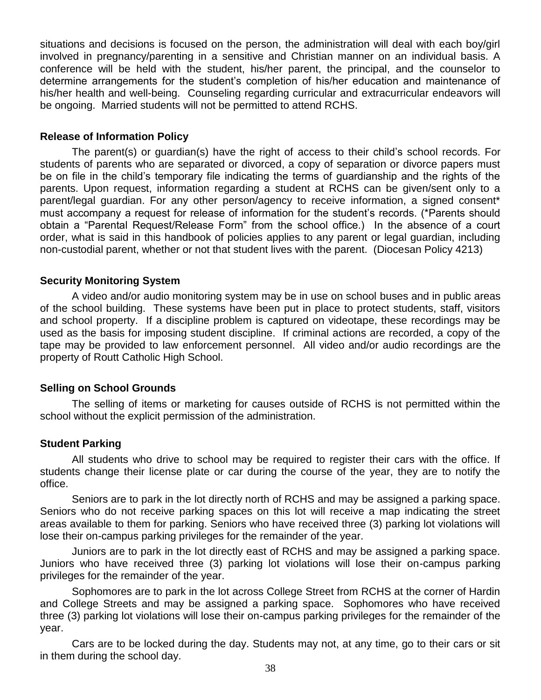situations and decisions is focused on the person, the administration will deal with each boy/girl involved in pregnancy/parenting in a sensitive and Christian manner on an individual basis. A conference will be held with the student, his/her parent, the principal, and the counselor to determine arrangements for the student's completion of his/her education and maintenance of his/her health and well-being. Counseling regarding curricular and extracurricular endeavors will be ongoing. Married students will not be permitted to attend RCHS.

#### **Release of Information Policy**

The parent(s) or guardian(s) have the right of access to their child's school records. For students of parents who are separated or divorced, a copy of separation or divorce papers must be on file in the child's temporary file indicating the terms of guardianship and the rights of the parents. Upon request, information regarding a student at RCHS can be given/sent only to a parent/legal guardian. For any other person/agency to receive information, a signed consent\* must accompany a request for release of information for the student's records. (\*Parents should obtain a "Parental Request/Release Form" from the school office.) In the absence of a court order, what is said in this handbook of policies applies to any parent or legal guardian, including non-custodial parent, whether or not that student lives with the parent. (Diocesan Policy 4213)

## **Security Monitoring System**

A video and/or audio monitoring system may be in use on school buses and in public areas of the school building. These systems have been put in place to protect students, staff, visitors and school property. If a discipline problem is captured on videotape, these recordings may be used as the basis for imposing student discipline. If criminal actions are recorded, a copy of the tape may be provided to law enforcement personnel. All video and/or audio recordings are the property of Routt Catholic High School.

## **Selling on School Grounds**

The selling of items or marketing for causes outside of RCHS is not permitted within the school without the explicit permission of the administration.

## **Student Parking**

All students who drive to school may be required to register their cars with the office. If students change their license plate or car during the course of the year, they are to notify the office.

Seniors are to park in the lot directly north of RCHS and may be assigned a parking space. Seniors who do not receive parking spaces on this lot will receive a map indicating the street areas available to them for parking. Seniors who have received three (3) parking lot violations will lose their on-campus parking privileges for the remainder of the year.

Juniors are to park in the lot directly east of RCHS and may be assigned a parking space. Juniors who have received three (3) parking lot violations will lose their on-campus parking privileges for the remainder of the year.

Sophomores are to park in the lot across College Street from RCHS at the corner of Hardin and College Streets and may be assigned a parking space. Sophomores who have received three (3) parking lot violations will lose their on-campus parking privileges for the remainder of the year.

Cars are to be locked during the day. Students may not, at any time, go to their cars or sit in them during the school day.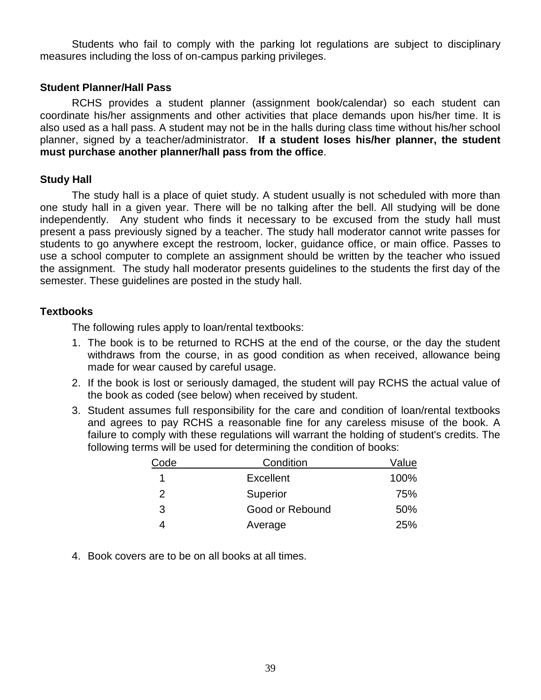Students who fail to comply with the parking lot regulations are subject to disciplinary measures including the loss of on-campus parking privileges.

## **Student Planner/Hall Pass**

RCHS provides a student planner (assignment book/calendar) so each student can coordinate his/her assignments and other activities that place demands upon his/her time. It is also used as a hall pass. A student may not be in the halls during class time without his/her school planner, signed by a teacher/administrator. **If a student loses his/her planner, the student must purchase another planner/hall pass from the office**.

## **Study Hall**

The study hall is a place of quiet study. A student usually is not scheduled with more than one study hall in a given year. There will be no talking after the bell. All studying will be done independently. Any student who finds it necessary to be excused from the study hall must present a pass previously signed by a teacher. The study hall moderator cannot write passes for students to go anywhere except the restroom, locker, guidance office, or main office. Passes to use a school computer to complete an assignment should be written by the teacher who issued the assignment. The study hall moderator presents guidelines to the students the first day of the semester. These guidelines are posted in the study hall.

## **Textbooks**

The following rules apply to loan/rental textbooks:

- 1. The book is to be returned to RCHS at the end of the course, or the day the student withdraws from the course, in as good condition as when received, allowance being made for wear caused by careful usage.
- 2. If the book is lost or seriously damaged, the student will pay RCHS the actual value of the book as coded (see below) when received by student.
- 3. Student assumes full responsibility for the care and condition of loan/rental textbooks and agrees to pay RCHS a reasonable fine for any careless misuse of the book. A failure to comply with these regulations will warrant the holding of student's credits. The following terms will be used for determining the condition of books:

| Code | Condition        | Value      |
|------|------------------|------------|
|      | <b>Excellent</b> | 100%       |
| 2    | Superior         | 75%        |
| 3    | Good or Rebound  | 50%        |
|      | Average          | <b>25%</b> |

4. Book covers are to be on all books at all times.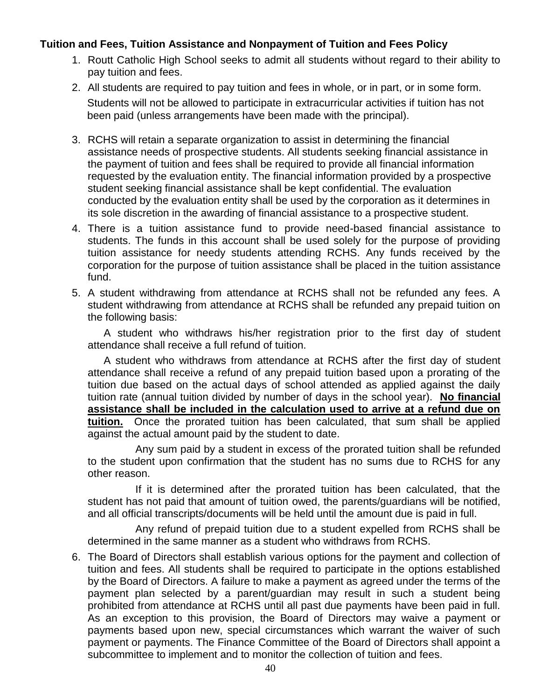## **Tuition and Fees, Tuition Assistance and Nonpayment of Tuition and Fees Policy**

- 1. Routt Catholic High School seeks to admit all students without regard to their ability to pay tuition and fees.
- 2. All students are required to pay tuition and fees in whole, or in part, or in some form. Students will not be allowed to participate in extracurricular activities if tuition has not been paid (unless arrangements have been made with the principal).
- 3. RCHS will retain a separate organization to assist in determining the financial assistance needs of prospective students. All students seeking financial assistance in the payment of tuition and fees shall be required to provide all financial information requested by the evaluation entity. The financial information provided by a prospective student seeking financial assistance shall be kept confidential. The evaluation conducted by the evaluation entity shall be used by the corporation as it determines in its sole discretion in the awarding of financial assistance to a prospective student.
- 4. There is a tuition assistance fund to provide need-based financial assistance to students. The funds in this account shall be used solely for the purpose of providing tuition assistance for needy students attending RCHS. Any funds received by the corporation for the purpose of tuition assistance shall be placed in the tuition assistance fund.
- 5. A student withdrawing from attendance at RCHS shall not be refunded any fees. A student withdrawing from attendance at RCHS shall be refunded any prepaid tuition on the following basis:

A student who withdraws his/her registration prior to the first day of student attendance shall receive a full refund of tuition.

A student who withdraws from attendance at RCHS after the first day of student attendance shall receive a refund of any prepaid tuition based upon a prorating of the tuition due based on the actual days of school attended as applied against the daily tuition rate (annual tuition divided by number of days in the school year). **No financial assistance shall be included in the calculation used to arrive at a refund due on tuition.** Once the prorated tuition has been calculated, that sum shall be applied against the actual amount paid by the student to date.

Any sum paid by a student in excess of the prorated tuition shall be refunded to the student upon confirmation that the student has no sums due to RCHS for any other reason.

If it is determined after the prorated tuition has been calculated, that the student has not paid that amount of tuition owed, the parents/guardians will be notified, and all official transcripts/documents will be held until the amount due is paid in full.

Any refund of prepaid tuition due to a student expelled from RCHS shall be determined in the same manner as a student who withdraws from RCHS.

6. The Board of Directors shall establish various options for the payment and collection of tuition and fees. All students shall be required to participate in the options established by the Board of Directors. A failure to make a payment as agreed under the terms of the payment plan selected by a parent/guardian may result in such a student being prohibited from attendance at RCHS until all past due payments have been paid in full. As an exception to this provision, the Board of Directors may waive a payment or payments based upon new, special circumstances which warrant the waiver of such payment or payments. The Finance Committee of the Board of Directors shall appoint a subcommittee to implement and to monitor the collection of tuition and fees.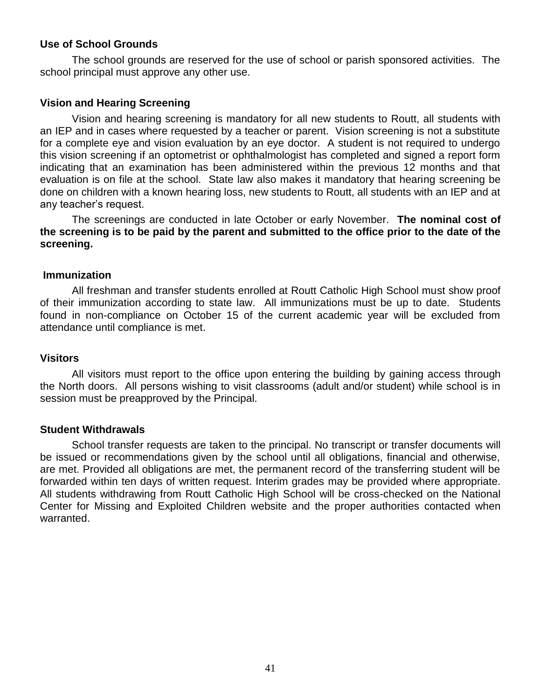## **Use of School Grounds**

The school grounds are reserved for the use of school or parish sponsored activities. The school principal must approve any other use.

## **Vision and Hearing Screening**

Vision and hearing screening is mandatory for all new students to Routt, all students with an IEP and in cases where requested by a teacher or parent. Vision screening is not a substitute for a complete eye and vision evaluation by an eye doctor. A student is not required to undergo this vision screening if an optometrist or ophthalmologist has completed and signed a report form indicating that an examination has been administered within the previous 12 months and that evaluation is on file at the school. State law also makes it mandatory that hearing screening be done on children with a known hearing loss, new students to Routt, all students with an IEP and at any teacher's request.

The screenings are conducted in late October or early November. **The nominal cost of the screening is to be paid by the parent and submitted to the office prior to the date of the screening.**

## **Immunization**

All freshman and transfer students enrolled at Routt Catholic High School must show proof of their immunization according to state law. All immunizations must be up to date. Students found in non-compliance on October 15 of the current academic year will be excluded from attendance until compliance is met.

## **Visitors**

All visitors must report to the office upon entering the building by gaining access through the North doors. All persons wishing to visit classrooms (adult and/or student) while school is in session must be preapproved by the Principal.

## **Student Withdrawals**

School transfer requests are taken to the principal. No transcript or transfer documents will be issued or recommendations given by the school until all obligations, financial and otherwise, are met. Provided all obligations are met, the permanent record of the transferring student will be forwarded within ten days of written request. Interim grades may be provided where appropriate. All students withdrawing from Routt Catholic High School will be cross-checked on the National Center for Missing and Exploited Children website and the proper authorities contacted when warranted.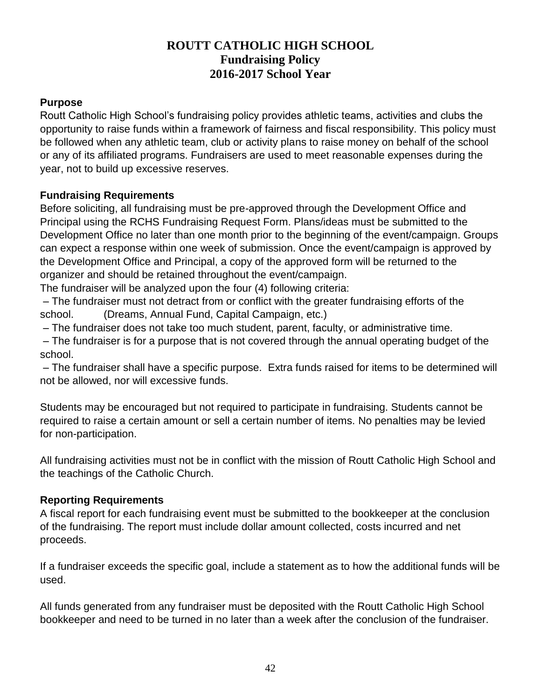## **ROUTT CATHOLIC HIGH SCHOOL Fundraising Policy 2016-2017 School Year**

## **Purpose**

Routt Catholic High School's fundraising policy provides athletic teams, activities and clubs the opportunity to raise funds within a framework of fairness and fiscal responsibility. This policy must be followed when any athletic team, club or activity plans to raise money on behalf of the school or any of its affiliated programs. Fundraisers are used to meet reasonable expenses during the year, not to build up excessive reserves.

## **Fundraising Requirements**

Before soliciting, all fundraising must be pre-approved through the Development Office and Principal using the RCHS Fundraising Request Form. Plans/ideas must be submitted to the Development Office no later than one month prior to the beginning of the event/campaign. Groups can expect a response within one week of submission. Once the event/campaign is approved by the Development Office and Principal, a copy of the approved form will be returned to the organizer and should be retained throughout the event/campaign.

The fundraiser will be analyzed upon the four (4) following criteria:

– The fundraiser must not detract from or conflict with the greater fundraising efforts of the school. (Dreams, Annual Fund, Capital Campaign, etc.)

– The fundraiser does not take too much student, parent, faculty, or administrative time.

– The fundraiser is for a purpose that is not covered through the annual operating budget of the school.

– The fundraiser shall have a specific purpose. Extra funds raised for items to be determined will not be allowed, nor will excessive funds.

Students may be encouraged but not required to participate in fundraising. Students cannot be required to raise a certain amount or sell a certain number of items. No penalties may be levied for non-participation.

All fundraising activities must not be in conflict with the mission of Routt Catholic High School and the teachings of the Catholic Church.

## **Reporting Requirements**

A fiscal report for each fundraising event must be submitted to the bookkeeper at the conclusion of the fundraising. The report must include dollar amount collected, costs incurred and net proceeds.

If a fundraiser exceeds the specific goal, include a statement as to how the additional funds will be used.

All funds generated from any fundraiser must be deposited with the Routt Catholic High School bookkeeper and need to be turned in no later than a week after the conclusion of the fundraiser.